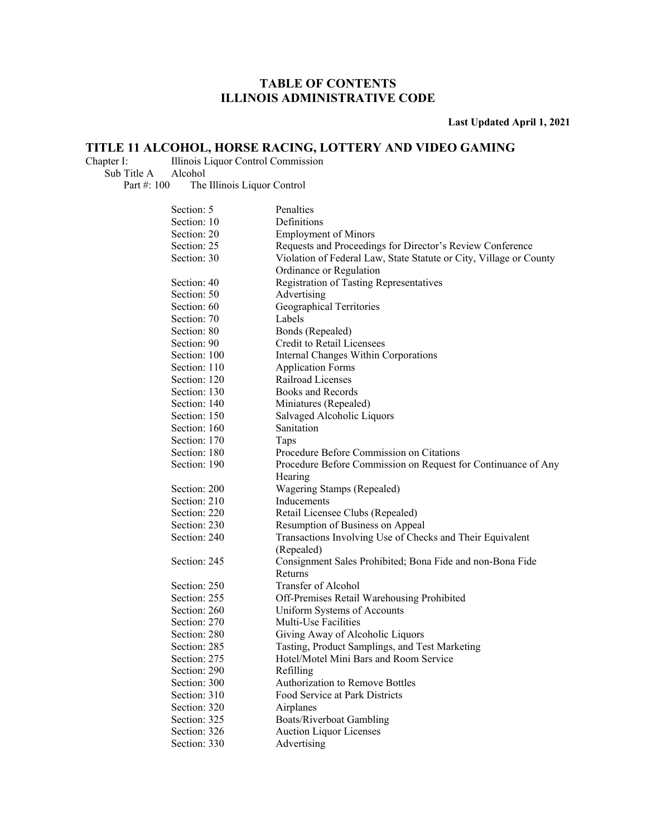**Last Updated April 1, 2021** 

## **TITLE 11 ALCOHOL, HORSE RACING, LOTTERY AND VIDEO GAMING**<br>Chapter I: Illinois Liquor Control Commission

Illinois Liquor Control Commission Sub Title A Alcohol

Part #: 100 The Illinois Liquor Control

| Section: 5   | Penalties                                                          |
|--------------|--------------------------------------------------------------------|
| Section: 10  | Definitions                                                        |
| Section: 20  | <b>Employment of Minors</b>                                        |
| Section: 25  | Requests and Proceedings for Director's Review Conference          |
| Section: 30  | Violation of Federal Law, State Statute or City, Village or County |
|              | Ordinance or Regulation                                            |
| Section: 40  | <b>Registration of Tasting Representatives</b>                     |
| Section: 50  | Advertising                                                        |
| Section: 60  | Geographical Territories                                           |
| Section: 70  | Labels                                                             |
| Section: 80  | Bonds (Repealed)                                                   |
| Section: 90  | Credit to Retail Licensees                                         |
| Section: 100 | Internal Changes Within Corporations                               |
| Section: 110 | <b>Application Forms</b>                                           |
| Section: 120 | Railroad Licenses                                                  |
| Section: 130 | Books and Records                                                  |
| Section: 140 | Miniatures (Repealed)                                              |
| Section: 150 | Salvaged Alcoholic Liquors                                         |
| Section: 160 | Sanitation                                                         |
| Section: 170 | Taps                                                               |
| Section: 180 | Procedure Before Commission on Citations                           |
| Section: 190 | Procedure Before Commission on Request for Continuance of Any      |
|              | Hearing                                                            |
| Section: 200 | Wagering Stamps (Repealed)                                         |
| Section: 210 | Inducements                                                        |
| Section: 220 | Retail Licensee Clubs (Repealed)                                   |
| Section: 230 | Resumption of Business on Appeal                                   |
| Section: 240 | Transactions Involving Use of Checks and Their Equivalent          |
|              | (Repealed)                                                         |
| Section: 245 | Consignment Sales Prohibited; Bona Fide and non-Bona Fide          |
|              | Returns                                                            |
| Section: 250 | Transfer of Alcohol                                                |
| Section: 255 | Off-Premises Retail Warehousing Prohibited                         |
| Section: 260 | Uniform Systems of Accounts                                        |
| Section: 270 | Multi-Use Facilities                                               |
| Section: 280 | Giving Away of Alcoholic Liquors                                   |
| Section: 285 | Tasting, Product Samplings, and Test Marketing                     |
| Section: 275 | Hotel/Motel Mini Bars and Room Service                             |
| Section: 290 | Refilling                                                          |
| Section: 300 | <b>Authorization to Remove Bottles</b>                             |
| Section: 310 | Food Service at Park Districts                                     |
| Section: 320 | Airplanes                                                          |
| Section: 325 | <b>Boats/Riverboat Gambling</b>                                    |
| Section: 326 | <b>Auction Liquor Licenses</b>                                     |
| Section: 330 | Advertising                                                        |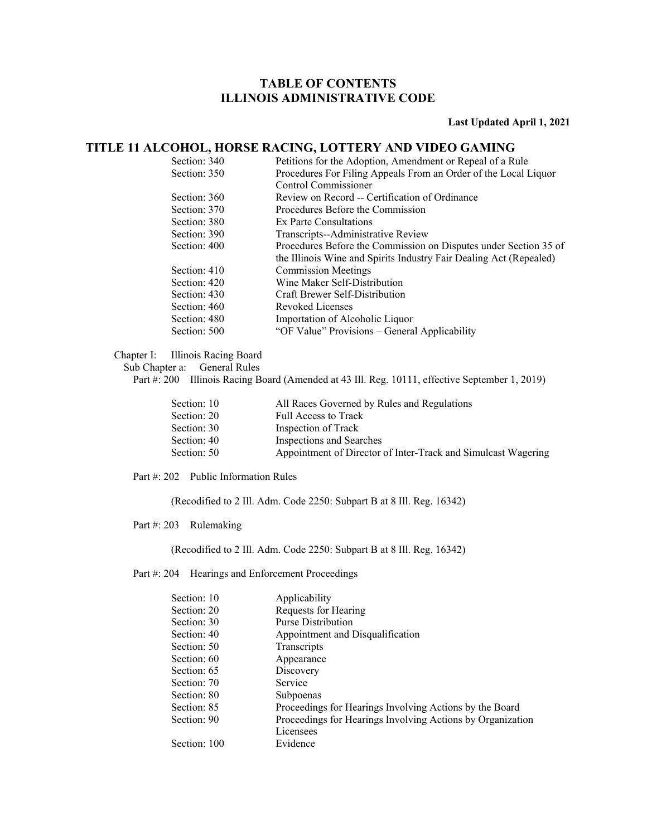#### **Last Updated April 1, 2021**

### **TITLE 11 ALCOHOL, HORSE RACING, LOTTERY AND VIDEO GAMING**

| Section: 340 | Petitions for the Adoption, Amendment or Repeal of a Rule          |
|--------------|--------------------------------------------------------------------|
| Section: 350 | Procedures For Filing Appeals From an Order of the Local Liquor    |
|              | Control Commissioner                                               |
| Section: 360 | Review on Record -- Certification of Ordinance                     |
| Section: 370 | Procedures Before the Commission                                   |
| Section: 380 | Ex Parte Consultations                                             |
| Section: 390 | Transcripts--Administrative Review                                 |
| Section: 400 | Procedures Before the Commission on Disputes under Section 35 of   |
|              | the Illinois Wine and Spirits Industry Fair Dealing Act (Repealed) |
| Section: 410 | <b>Commission Meetings</b>                                         |
| Section: 420 | Wine Maker Self-Distribution                                       |
| Section: 430 | Craft Brewer Self-Distribution                                     |
| Section: 460 | Revoked Licenses                                                   |
| Section: 480 | Importation of Alcoholic Liquor                                    |
| Section: 500 | "OF Value" Provisions – General Applicability                      |
|              |                                                                    |

Chapter I: Illinois Racing Board

Sub Chapter a: General Rules

Part #: 200 Illinois Racing Board (Amended at 43 Ill. Reg. 10111, effective September 1, 2019)

| Section: 10 | All Races Governed by Rules and Regulations                   |
|-------------|---------------------------------------------------------------|
| Section: 20 | Full Access to Track                                          |
| Section: 30 | Inspection of Track                                           |
| Section: 40 | Inspections and Searches                                      |
| Section: 50 | Appointment of Director of Inter-Track and Simulcast Wagering |
|             |                                                               |

Part #: 202 Public Information Rules

(Recodified to 2 Ill. Adm. Code 2250: Subpart B at 8 Ill. Reg. 16342)

Part #: 203 Rulemaking

(Recodified to 2 Ill. Adm. Code 2250: Subpart B at 8 Ill. Reg. 16342)

Part #: 204 Hearings and Enforcement Proceedings

| Section: 10  | Applicability                                              |
|--------------|------------------------------------------------------------|
| Section: 20  | Requests for Hearing                                       |
| Section: 30  | Purse Distribution                                         |
| Section: 40  | Appointment and Disqualification                           |
| Section: 50  | Transcripts                                                |
| Section: 60  | Appearance                                                 |
| Section: 65  | Discovery                                                  |
| Section: 70  | Service                                                    |
| Section: 80  | Subpoenas                                                  |
| Section: 85  | Proceedings for Hearings Involving Actions by the Board    |
| Section: 90  | Proceedings for Hearings Involving Actions by Organization |
|              | Licensees                                                  |
| Section: 100 | Evidence                                                   |
|              |                                                            |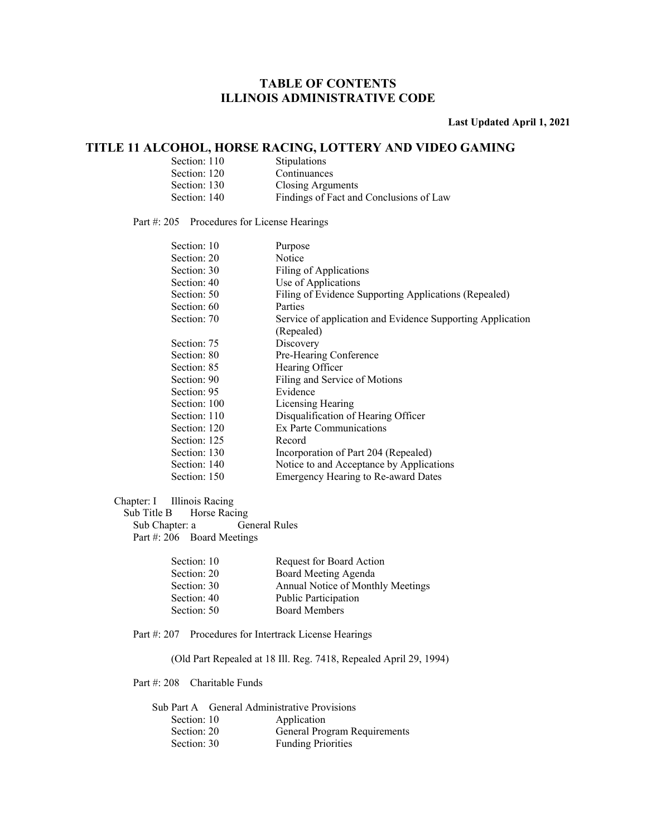**Last Updated April 1, 2021** 

### **TITLE 11 ALCOHOL, HORSE RACING, LOTTERY AND VIDEO GAMING**

| Section: 110 | <b>Stipulations</b>                     |
|--------------|-----------------------------------------|
| Section: 120 | Continuances                            |
| Section: 130 | Closing Arguments                       |
| Section: 140 | Findings of Fact and Conclusions of Law |

#### Part #: 205 Procedures for License Hearings

| Section: 10  | Purpose                                                    |
|--------------|------------------------------------------------------------|
| Section: 20  | Notice                                                     |
| Section: 30  | Filing of Applications                                     |
| Section: 40  | Use of Applications                                        |
| Section: 50  | Filing of Evidence Supporting Applications (Repealed)      |
| Section: 60  | Parties                                                    |
| Section: 70  | Service of application and Evidence Supporting Application |
|              | (Repealed)                                                 |
| Section: 75  | Discovery                                                  |
| Section: 80  | Pre-Hearing Conference                                     |
| Section: 85  | Hearing Officer                                            |
| Section: 90  | Filing and Service of Motions                              |
| Section: 95  | Evidence                                                   |
| Section: 100 | Licensing Hearing                                          |
| Section: 110 | Disqualification of Hearing Officer                        |
| Section: 120 | Ex Parte Communications                                    |
| Section: 125 | Record                                                     |
| Section: 130 | Incorporation of Part 204 (Repealed)                       |
| Section: 140 | Notice to and Acceptance by Applications                   |
| Section: 150 | Emergency Hearing to Re-award Dates                        |
|              |                                                            |

#### Chapter: I Illinois Racing

Sub Title B Horse Racing<br>Sub Chapter: a General Rules Sub Chapter: a Part #: 206 Board Meetings

| Section: 10 | Request for Board Action          |
|-------------|-----------------------------------|
| Section: 20 | Board Meeting Agenda              |
| Section: 30 | Annual Notice of Monthly Meetings |
| Section: 40 | <b>Public Participation</b>       |
| Section: 50 | <b>Board Members</b>              |
|             |                                   |

Part #: 207 Procedures for Intertrack License Hearings

(Old Part Repealed at 18 Ill. Reg. 7418, Repealed April 29, 1994)

Part #: 208 Charitable Funds

|             | Sub Part A General Administrative Provisions |
|-------------|----------------------------------------------|
| Section: 10 | Application                                  |
| Section: 20 | General Program Requirements                 |
| Section: 30 | <b>Funding Priorities</b>                    |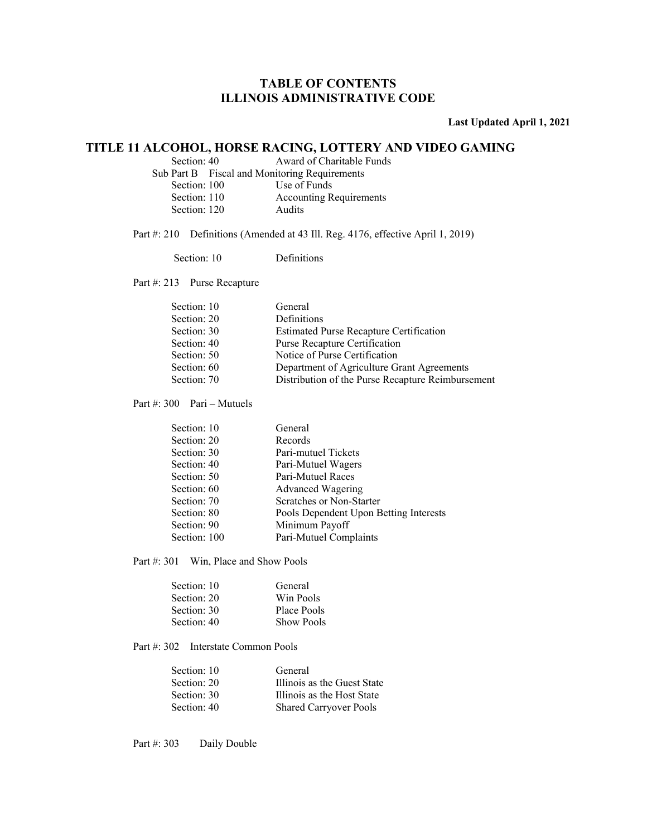**Last Updated April 1, 2021** 

### **TITLE 11 ALCOHOL, HORSE RACING, LOTTERY AND VIDEO GAMING**

Section: 40 Award of Charitable Funds

Sub Part B Fiscal and Monitoring Requirements

Section: 100 Use of Funds<br>Section: 110 Accounting R

Accounting Requirements

Section: 120 Audits

Part #: 210 Definitions (Amended at 43 Ill. Reg. 4176, effective April 1, 2019)

Section: 10 Definitions

Part #: 213 Purse Recapture

| Section: 10 | General                                           |
|-------------|---------------------------------------------------|
| Section: 20 | <b>Definitions</b>                                |
| Section: 30 | <b>Estimated Purse Recapture Certification</b>    |
| Section: 40 | Purse Recapture Certification                     |
| Section: 50 | Notice of Purse Certification                     |
| Section: 60 | Department of Agriculture Grant Agreements        |
| Section: 70 | Distribution of the Purse Recapture Reimbursement |

Part #: 300 Pari – Mutuels

| Section: 10  | General                                |
|--------------|----------------------------------------|
| Section: 20  | Records                                |
| Section: 30  | Pari-mutuel Tickets                    |
| Section: 40  | Pari-Mutuel Wagers                     |
| Section: 50  | Pari-Mutuel Races                      |
| Section: 60  | Advanced Wagering                      |
| Section: 70  | Scratches or Non-Starter               |
| Section: 80  | Pools Dependent Upon Betting Interests |
| Section: 90  | Minimum Payoff                         |
| Section: 100 | Pari-Mutuel Complaints                 |
|              |                                        |

Part #: 301 Win, Place and Show Pools

| Section: 10 | General           |
|-------------|-------------------|
| Section: 20 | Win Pools         |
| Section: 30 | Place Pools       |
| Section: 40 | <b>Show Pools</b> |

Part #: 302 Interstate Common Pools

| Section: 10 | General                       |
|-------------|-------------------------------|
| Section: 20 | Illinois as the Guest State   |
| Section: 30 | Illinois as the Host State    |
| Section: 40 | <b>Shared Carryover Pools</b> |

Part #: 303 Daily Double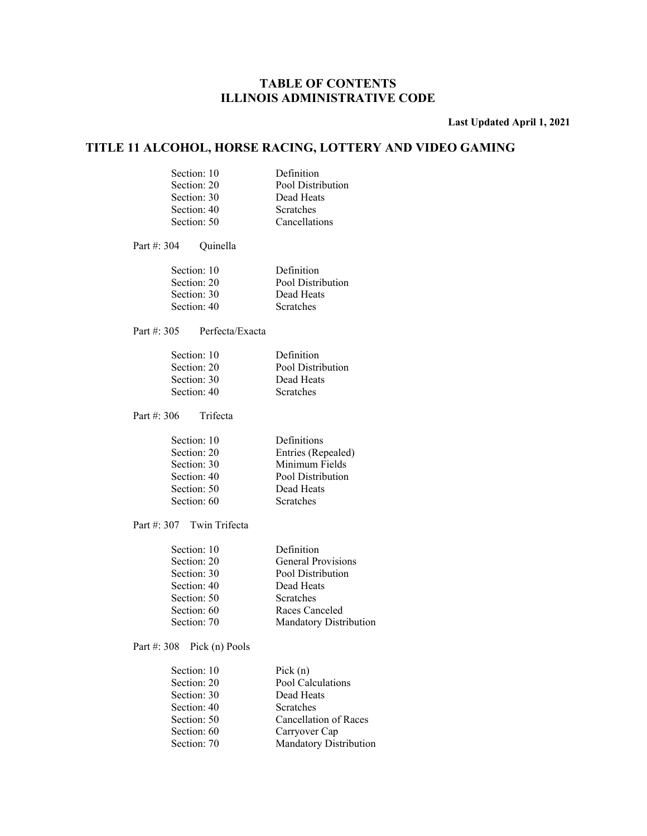**Last Updated April 1, 2021** 

### **TITLE 11 ALCOHOL, HORSE RACING, LOTTERY AND VIDEO GAMING**

| Section: 10 | Definition        |
|-------------|-------------------|
| Section: 20 | Pool Distribution |
| Section: 30 | Dead Heats        |
| Section: 40 | <b>Scratches</b>  |
| Section: 50 | Cancellations     |

Part #: 304 Quinella

| Section: 10 | Definition        |
|-------------|-------------------|
| Section: 20 | Pool Distribution |
| Section: 30 | Dead Heats        |
| Section: 40 | <b>Scratches</b>  |

Part #: 305 Perfecta/Exacta

| Section: 10 | Definition        |
|-------------|-------------------|
| Section: 20 | Pool Distribution |
| Section: 30 | Dead Heats        |
| Section: 40 | <b>Scratches</b>  |

Part #: 306 Trifecta

| Section: 10 | Definitions        |
|-------------|--------------------|
| Section: 20 | Entries (Repealed) |
| Section: 30 | Minimum Fields     |
| Section: 40 | Pool Distribution  |
| Section: 50 | Dead Heats         |
| Section: 60 | <b>Scratches</b>   |
|             |                    |

Part #: 307 Twin Trifecta

| Section: 10 | Definition             |
|-------------|------------------------|
| Section: 20 | General Provisions     |
| Section: 30 | Pool Distribution      |
| Section: 40 | Dead Heats             |
| Section: 50 | <b>Scratches</b>       |
| Section: 60 | Races Canceled         |
| Section: 70 | Mandatory Distribution |
|             |                        |

Part #: 308 Pick (n) Pools

| Section: 10 | Pick $(n)$             |
|-------------|------------------------|
| Section: 20 | Pool Calculations      |
| Section: 30 | Dead Heats             |
| Section: 40 | Scratches              |
| Section: 50 | Cancellation of Races  |
| Section: 60 | Carryover Cap          |
| Section: 70 | Mandatory Distribution |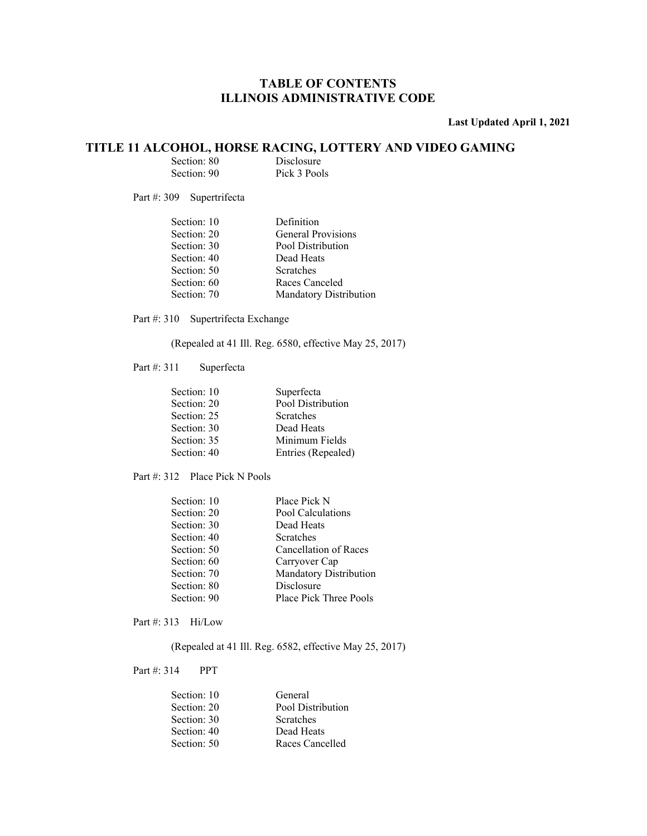**Last Updated April 1, 2021** 

# **TITLE 11 ALCOHOL, HORSE RACING, LOTTERY AND VIDEO GAMING**<br>Section: 80 Disclosure<br>Section: 90 Pick 3 Pools

| Section: 80 | Disclosure   |
|-------------|--------------|
| Section: 90 | Pick 3 Pools |

Part #: 309 Supertrifecta

| Section: 10 | Definition                    |
|-------------|-------------------------------|
| Section: 20 | General Provisions            |
| Section: 30 | Pool Distribution             |
| Section: 40 | Dead Heats                    |
| Section: 50 | <b>Scratches</b>              |
| Section: 60 | Races Canceled                |
| Section: 70 | <b>Mandatory Distribution</b> |

Part #: 310 Supertrifecta Exchange

(Repealed at 41 Ill. Reg. 6580, effective May 25, 2017)

Part #: 311 Superfecta

| Pool Distribution<br>Section: 20<br>Section: 25<br><b>Scratches</b><br>Section: 30<br>Dead Heats<br>Minimum Fields<br>Section: 35<br>Section: 40<br>Entries (Repealed) | Section: 10 | Superfecta |
|------------------------------------------------------------------------------------------------------------------------------------------------------------------------|-------------|------------|
|                                                                                                                                                                        |             |            |
|                                                                                                                                                                        |             |            |
|                                                                                                                                                                        |             |            |
|                                                                                                                                                                        |             |            |
|                                                                                                                                                                        |             |            |

Part #: 312 Place Pick N Pools

| Section: 10 | Place Pick N                  |
|-------------|-------------------------------|
| Section: 20 | Pool Calculations             |
| Section: 30 | Dead Heats                    |
| Section: 40 | <b>Scratches</b>              |
| Section: 50 | Cancellation of Races         |
| Section: 60 | Carryover Cap                 |
| Section: 70 | Mandatory Distribution        |
| Section: 80 | Disclosure                    |
| Section: 90 | <b>Place Pick Three Pools</b> |
|             |                               |

Part #: 313 Hi/Low

(Repealed at 41 Ill. Reg. 6582, effective May 25, 2017)

Part #: 314 PPT

| General           |
|-------------------|
| Pool Distribution |
| <b>Scratches</b>  |
| Dead Heats        |
| Races Cancelled   |
|                   |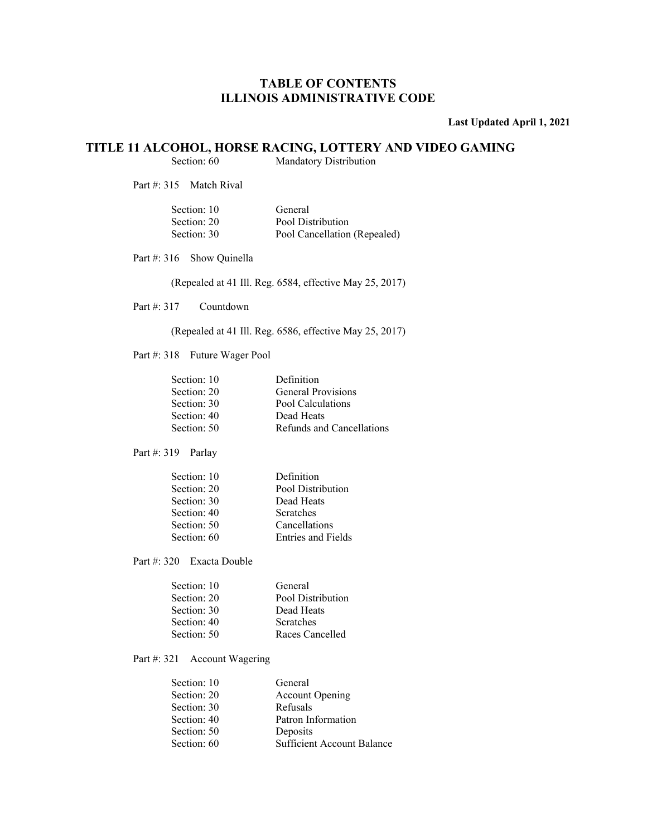**Last Updated April 1, 2021** 

## **TITLE 11 ALCOHOL, HORSE RACING, LOTTERY AND VIDEO GAMING**<br>Section: 60 Mandatory Distribution

Mandatory Distribution

Part #: 315 Match Rival

| General                      |
|------------------------------|
| Pool Distribution            |
| Pool Cancellation (Repealed) |
|                              |

Part #: 316 Show Quinella

(Repealed at 41 Ill. Reg. 6584, effective May 25, 2017)

Part #: 317 Countdown

(Repealed at 41 Ill. Reg. 6586, effective May 25, 2017)

Part #: 318 Future Wager Pool

| Section: 10 | Definition                |
|-------------|---------------------------|
| Section: 20 | General Provisions        |
| Section: 30 | Pool Calculations         |
| Section: 40 | Dead Heats                |
| Section: 50 | Refunds and Cancellations |

Part #: 319 Parlay

| Section: 10 | Definition         |
|-------------|--------------------|
| Section: 20 | Pool Distribution  |
| Section: 30 | Dead Heats         |
| Section: 40 | <b>Scratches</b>   |
| Section: 50 | Cancellations      |
| Section: 60 | Entries and Fields |
|             |                    |

Part #: 320 Exacta Double

| General           |
|-------------------|
| Pool Distribution |
| Dead Heats        |
| <b>Scratches</b>  |
| Races Cancelled   |
|                   |

Part #: 321 Account Wagering

| Section: 10 | General                           |
|-------------|-----------------------------------|
| Section: 20 | <b>Account Opening</b>            |
| Section: 30 | Refusals                          |
| Section: 40 | Patron Information                |
| Section: 50 | Deposits                          |
| Section: 60 | <b>Sufficient Account Balance</b> |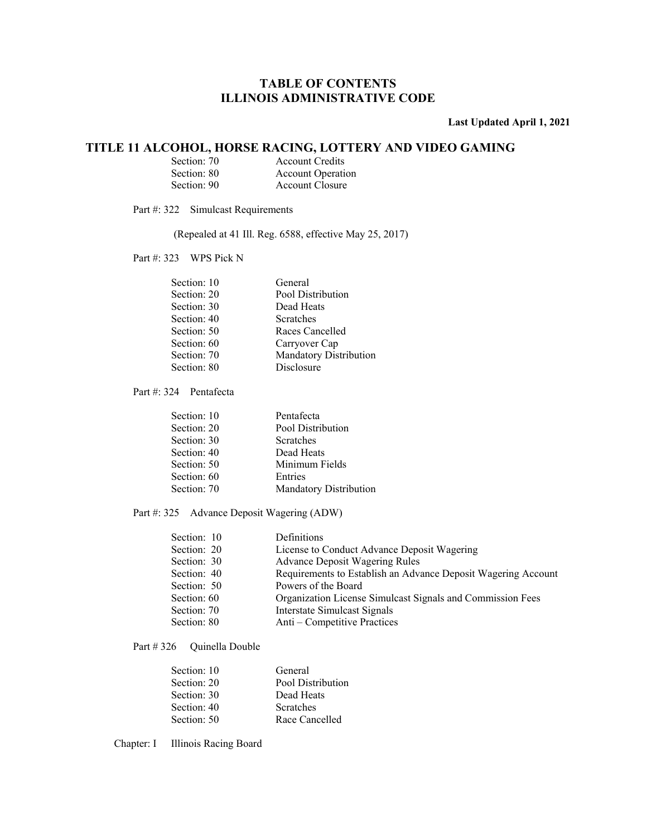#### **Last Updated April 1, 2021**

### **TITLE 11 ALCOHOL, HORSE RACING, LOTTERY AND VIDEO GAMING**

| Section: 70 | <b>Account Credits</b>   |
|-------------|--------------------------|
| Section: 80 | <b>Account Operation</b> |
| Section: 90 | Account Closure          |

Part #: 322 Simulcast Requirements

(Repealed at 41 Ill. Reg. 6588, effective May 25, 2017)

Part #: 323 WPS Pick N

| Section: 10 | General                |
|-------------|------------------------|
| Section: 20 | Pool Distribution      |
| Section: 30 | Dead Heats             |
| Section: 40 | Scratches              |
| Section: 50 | Races Cancelled        |
| Section: 60 | Carryover Cap          |
| Section: 70 | Mandatory Distribution |
| Section: 80 | Disclosure             |
|             |                        |

Part #: 324 Pentafecta

| Section: 10 | Pentafecta             |
|-------------|------------------------|
| Section: 20 | Pool Distribution      |
| Section: 30 | <b>Scratches</b>       |
| Section: 40 | Dead Heats             |
| Section: 50 | Minimum Fields         |
| Section: 60 | Entries                |
| Section: 70 | Mandatory Distribution |
|             |                        |

#### Part #: 325 Advance Deposit Wagering (ADW)

| Section: 10 | Definitions                                                   |
|-------------|---------------------------------------------------------------|
| Section: 20 | License to Conduct Advance Deposit Wagering                   |
| Section: 30 | <b>Advance Deposit Wagering Rules</b>                         |
| Section: 40 | Requirements to Establish an Advance Deposit Wagering Account |
| Section: 50 | Powers of the Board                                           |
| Section: 60 | Organization License Simulcast Signals and Commission Fees    |
| Section: 70 | Interstate Simulcast Signals                                  |
| Section: 80 | Anti – Competitive Practices                                  |

Part #326 Quinella Double

| General           |
|-------------------|
| Pool Distribution |
| Dead Heats        |
| <b>Scratches</b>  |
| Race Cancelled    |
|                   |

Chapter: I Illinois Racing Board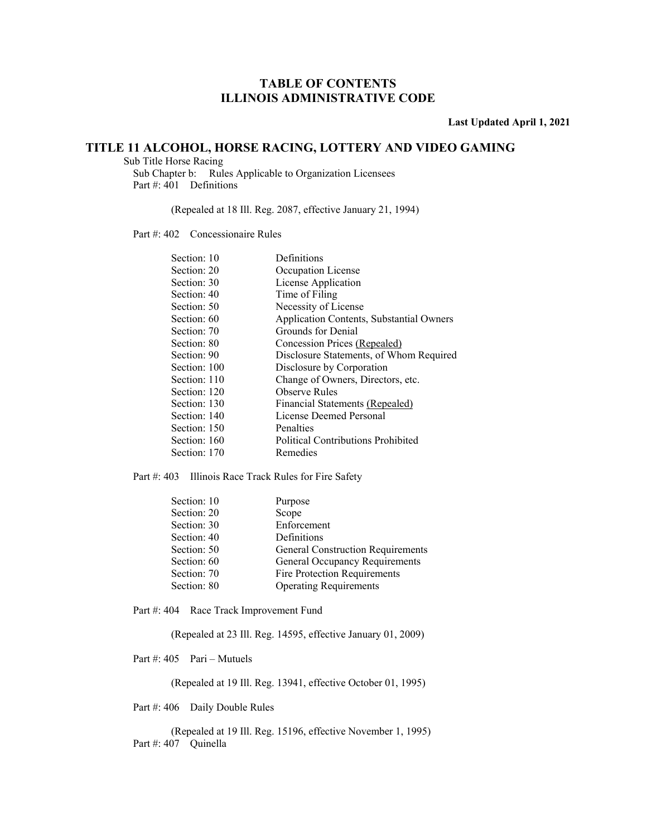**Last Updated April 1, 2021** 

### **TITLE 11 ALCOHOL, HORSE RACING, LOTTERY AND VIDEO GAMING**

 Sub Title Horse Racing Sub Chapter b: Rules Applicable to Organization Licensees Part #: 401 Definitions

(Repealed at 18 Ill. Reg. 2087, effective January 21, 1994)

Part #: 402 Concessionaire Rules

| Section: 10  | Definitions                               |
|--------------|-------------------------------------------|
| Section: 20  | Occupation License                        |
| Section: 30  | License Application                       |
| Section: 40  | Time of Filing                            |
| Section: 50  | Necessity of License                      |
| Section: 60  | Application Contents, Substantial Owners  |
| Section: 70  | Grounds for Denial                        |
| Section: 80  | Concession Prices (Repealed)              |
| Section: 90  | Disclosure Statements, of Whom Required   |
| Section: 100 | Disclosure by Corporation                 |
| Section: 110 | Change of Owners, Directors, etc.         |
| Section: 120 | <b>Observe Rules</b>                      |
| Section: 130 | Financial Statements (Repealed)           |
| Section: 140 | License Deemed Personal                   |
| Section: 150 | Penalties                                 |
| Section: 160 | <b>Political Contributions Prohibited</b> |
| Section: 170 | Remedies                                  |
|              |                                           |

Part #: 403 Illinois Race Track Rules for Fire Safety

| Section: 10 | Purpose                                  |
|-------------|------------------------------------------|
| Section: 20 | Scope                                    |
| Section: 30 | Enforcement                              |
| Section: 40 | Definitions                              |
| Section: 50 | <b>General Construction Requirements</b> |
| Section: 60 | General Occupancy Requirements           |
| Section: 70 | Fire Protection Requirements             |
| Section: 80 | <b>Operating Requirements</b>            |

Part #: 404 Race Track Improvement Fund

(Repealed at 23 Ill. Reg. 14595, effective January 01, 2009)

Part #: 405 Pari – Mutuels

(Repealed at 19 Ill. Reg. 13941, effective October 01, 1995)

Part #: 406 Daily Double Rules

 (Repealed at 19 Ill. Reg. 15196, effective November 1, 1995) Part #: 407 Quinella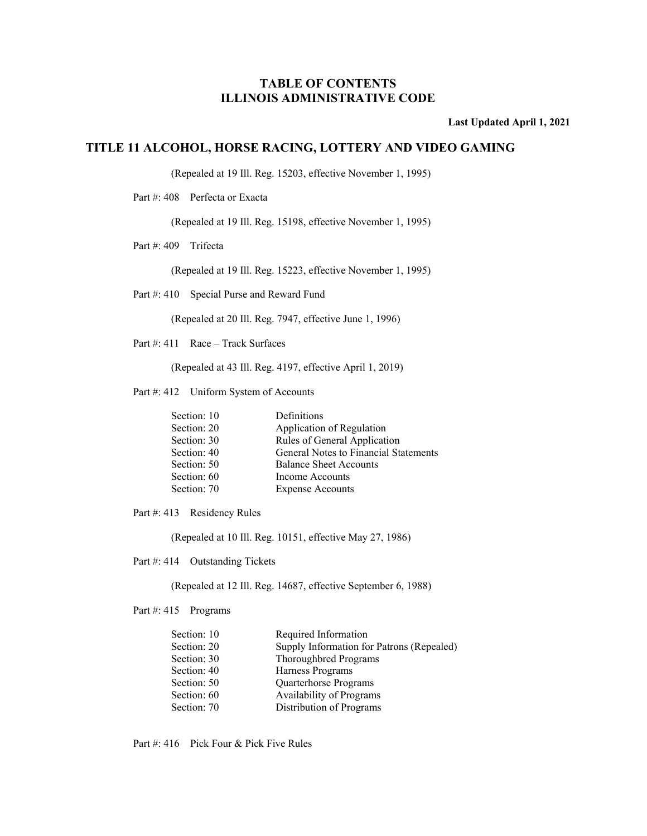**Last Updated April 1, 2021** 

#### **TITLE 11 ALCOHOL, HORSE RACING, LOTTERY AND VIDEO GAMING**

(Repealed at 19 Ill. Reg. 15203, effective November 1, 1995)

Part #: 408 Perfecta or Exacta

(Repealed at 19 Ill. Reg. 15198, effective November 1, 1995)

Part #: 409 Trifecta

(Repealed at 19 Ill. Reg. 15223, effective November 1, 1995)

Part #: 410 Special Purse and Reward Fund

(Repealed at 20 Ill. Reg. 7947, effective June 1, 1996)

Part #: 411 Race – Track Surfaces

(Repealed at 43 Ill. Reg. 4197, effective April 1, 2019)

Part #: 412 Uniform System of Accounts

| Section: 10 | Definitions                           |
|-------------|---------------------------------------|
| Section: 20 | Application of Regulation             |
| Section: 30 | Rules of General Application          |
| Section: 40 | General Notes to Financial Statements |
| Section: 50 | <b>Balance Sheet Accounts</b>         |
| Section: 60 | Income Accounts                       |
| Section: 70 | <b>Expense Accounts</b>               |

Part #: 413 Residency Rules

(Repealed at 10 Ill. Reg. 10151, effective May 27, 1986)

Part #: 414 Outstanding Tickets

(Repealed at 12 Ill. Reg. 14687, effective September 6, 1988)

Part #: 415 Programs

| Section: 10 | Required Information                      |
|-------------|-------------------------------------------|
| Section: 20 | Supply Information for Patrons (Repealed) |
| Section: 30 | Thoroughbred Programs                     |
| Section: 40 | Harness Programs                          |
| Section: 50 | Quarterhorse Programs                     |
| Section: 60 | <b>Availability of Programs</b>           |
| Section: 70 | Distribution of Programs                  |
|             |                                           |

Part #: 416 Pick Four & Pick Five Rules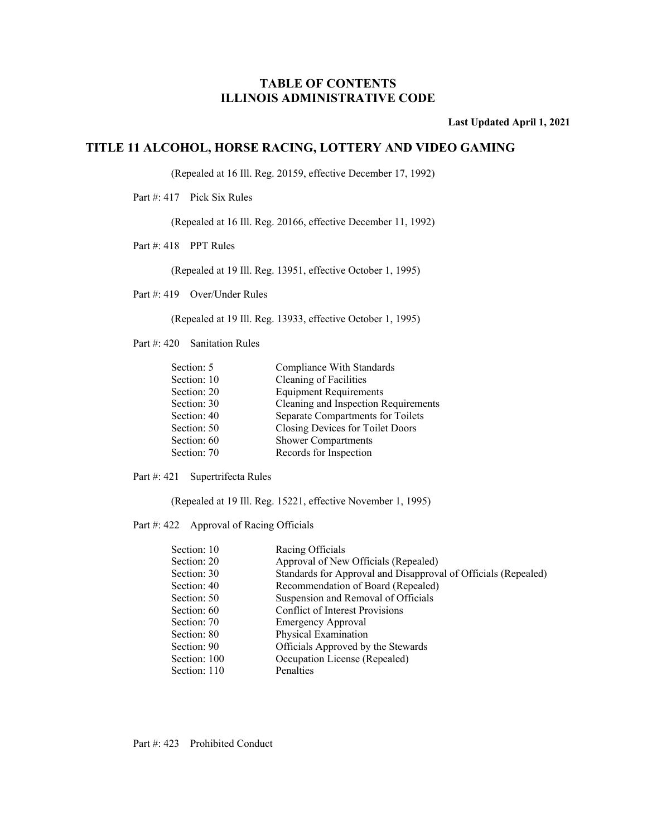**Last Updated April 1, 2021** 

### **TITLE 11 ALCOHOL, HORSE RACING, LOTTERY AND VIDEO GAMING**

(Repealed at 16 Ill. Reg. 20159, effective December 17, 1992)

Part #: 417 Pick Six Rules

(Repealed at 16 Ill. Reg. 20166, effective December 11, 1992)

Part #: 418 PPT Rules

(Repealed at 19 Ill. Reg. 13951, effective October 1, 1995)

Part #: 419 Over/Under Rules

(Repealed at 19 Ill. Reg. 13933, effective October 1, 1995)

Part #: 420 Sanitation Rules

| Cleaning of Facilities<br>Section: 10<br><b>Equipment Requirements</b><br>Section: 20 |  |
|---------------------------------------------------------------------------------------|--|
|                                                                                       |  |
|                                                                                       |  |
| Cleaning and Inspection Requirements<br>Section: 30                                   |  |
| Separate Compartments for Toilets<br>Section: 40                                      |  |
| Closing Devices for Toilet Doors<br>Section: 50                                       |  |
| Section: 60<br><b>Shower Compartments</b>                                             |  |
| Records for Inspection<br>Section: 70                                                 |  |

Part #: 421 Supertrifecta Rules

(Repealed at 19 Ill. Reg. 15221, effective November 1, 1995)

Part #: 422 Approval of Racing Officials

| Section: 10  | Racing Officials                                               |
|--------------|----------------------------------------------------------------|
| Section: 20  | Approval of New Officials (Repealed)                           |
| Section: 30  | Standards for Approval and Disapproval of Officials (Repealed) |
| Section: 40  | Recommendation of Board (Repealed)                             |
| Section: 50  | Suspension and Removal of Officials                            |
| Section: 60  | <b>Conflict of Interest Provisions</b>                         |
| Section: 70  | <b>Emergency Approval</b>                                      |
| Section: 80  | Physical Examination                                           |
| Section: 90  | Officials Approved by the Stewards                             |
| Section: 100 | Occupation License (Repealed)                                  |
| Section: 110 | Penalties                                                      |
|              |                                                                |

Part #: 423 Prohibited Conduct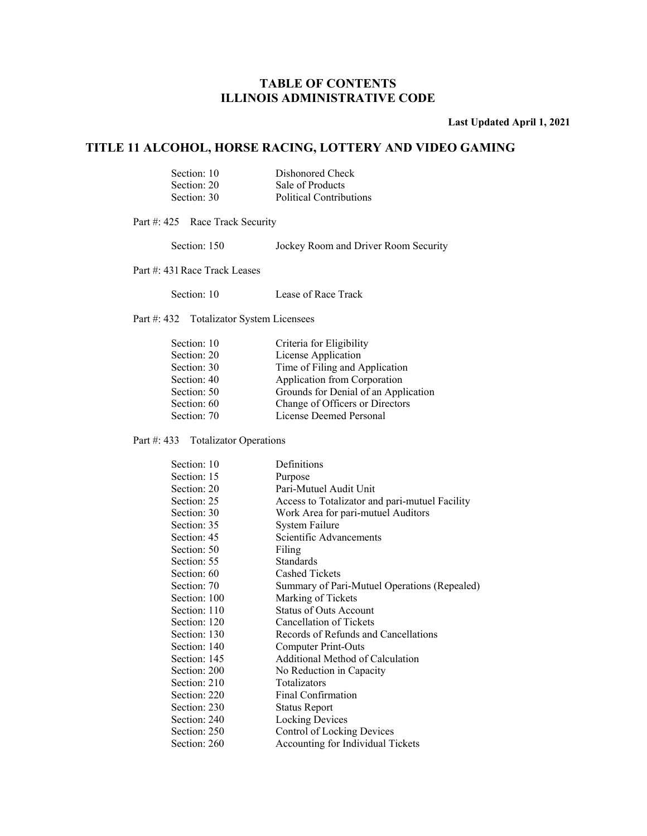**Last Updated April 1, 2021** 

### **TITLE 11 ALCOHOL, HORSE RACING, LOTTERY AND VIDEO GAMING**

| Section: 10 | Dishonored Check        |
|-------------|-------------------------|
| Section: 20 | Sale of Products        |
| Section: 30 | Political Contributions |

Part #: 425 Race Track Security

Section: 150 Jockey Room and Driver Room Security

Part #: 431 Race Track Leases

Part #: 432 Totalizator System Licensees

| Section: 10 | Criteria for Eligibility             |
|-------------|--------------------------------------|
| Section: 20 | License Application                  |
| Section: 30 | Time of Filing and Application       |
| Section: 40 | Application from Corporation         |
| Section: 50 | Grounds for Denial of an Application |
| Section: 60 | Change of Officers or Directors      |
| Section: 70 | License Deemed Personal              |
|             |                                      |

#### Part #: 433 Totalizator Operations

| Section: 10  | Definitions                                    |
|--------------|------------------------------------------------|
| Section: 15  | Purpose                                        |
| Section: 20  | Pari-Mutuel Audit Unit                         |
| Section: 25  | Access to Totalizator and pari-mutuel Facility |
| Section: 30  | Work Area for pari-mutuel Auditors             |
| Section: 35  | System Failure                                 |
| Section: 45  | Scientific Advancements                        |
| Section: 50  | Filing                                         |
| Section: 55  | <b>Standards</b>                               |
| Section: 60  | <b>Cashed Tickets</b>                          |
| Section: 70  | Summary of Pari-Mutuel Operations (Repealed)   |
| Section: 100 | Marking of Tickets                             |
| Section: 110 | <b>Status of Outs Account</b>                  |
| Section: 120 | Cancellation of Tickets                        |
| Section: 130 | Records of Refunds and Cancellations           |
| Section: 140 | Computer Print-Outs                            |
| Section: 145 | Additional Method of Calculation               |
| Section: 200 | No Reduction in Capacity                       |
| Section: 210 | Totalizators                                   |
| Section: 220 | Final Confirmation                             |
| Section: 230 | Status Report                                  |
| Section: 240 | <b>Locking Devices</b>                         |
| Section: 250 | Control of Locking Devices                     |
| Section: 260 | Accounting for Individual Tickets              |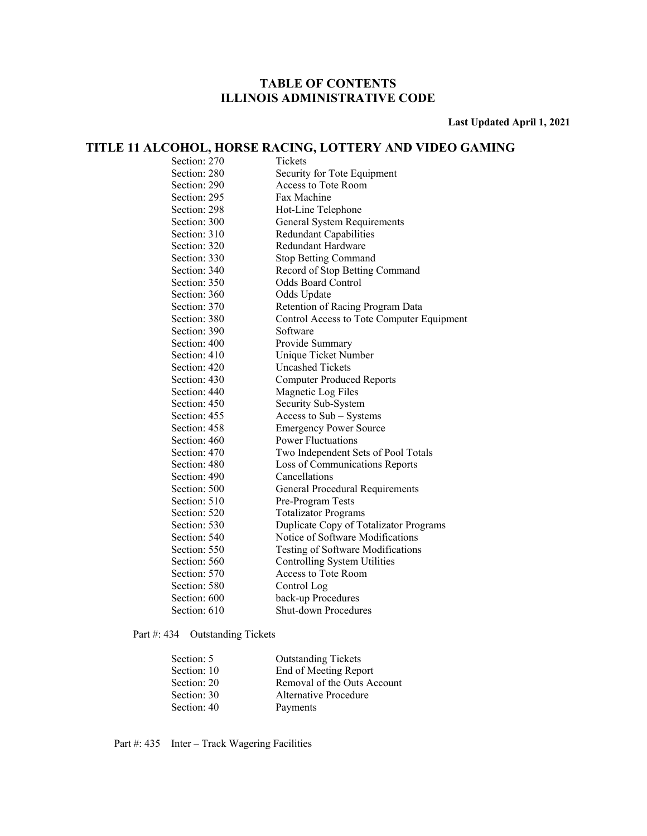**Last Updated April 1, 2021** 

### **TITLE 11 ALCOHOL, HORSE RACING, LOTTERY AND VIDEO GAMING**

| Section: 270<br>Tickets<br>Section: 280<br>Security for Tote Equipment<br>Section: 290<br>Access to Tote Room<br>Fax Machine<br>Section: 295<br>Section: 298<br>Hot-Line Telephone<br>Section: 300<br>General System Requirements<br>Section: 310<br><b>Redundant Capabilities</b><br>Section: 320<br>Redundant Hardware<br>Section: 330<br><b>Stop Betting Command</b><br>Section: 340<br>Record of Stop Betting Command<br>Section: 350<br><b>Odds Board Control</b><br>Section: 360<br>Odds Update<br>Section: 370<br>Retention of Racing Program Data<br>Section: 380<br>Software<br>Section: 390<br>Section: 400<br>Provide Summary<br>Section: 410<br>Unique Ticket Number<br>Section: 420<br><b>Uncashed Tickets</b><br>Section: 430<br><b>Computer Produced Reports</b><br>Section: 440<br>Magnetic Log Files<br>Section: 450<br>Security Sub-System<br>Section: 455<br>Access to Sub - Systems<br><b>Emergency Power Source</b><br>Section: 458<br><b>Power Fluctuations</b><br>Section: 460<br>Section: 470<br>Two Independent Sets of Pool Totals<br>Section: 480<br>Loss of Communications Reports<br>Section: 490<br>Cancellations<br>Section: 500<br>General Procedural Requirements<br>Section: 510<br>Pre-Program Tests<br>Section: 520<br><b>Totalizator Programs</b><br>Section: 530<br>Section: 540<br>Notice of Software Modifications<br>Section: 550<br>Testing of Software Modifications<br><b>Controlling System Utilities</b><br>Section: 560<br>Section: 570<br>Access to Tote Room<br>Section: 580<br>Control Log |              |                                           |
|----------------------------------------------------------------------------------------------------------------------------------------------------------------------------------------------------------------------------------------------------------------------------------------------------------------------------------------------------------------------------------------------------------------------------------------------------------------------------------------------------------------------------------------------------------------------------------------------------------------------------------------------------------------------------------------------------------------------------------------------------------------------------------------------------------------------------------------------------------------------------------------------------------------------------------------------------------------------------------------------------------------------------------------------------------------------------------------------------------------------------------------------------------------------------------------------------------------------------------------------------------------------------------------------------------------------------------------------------------------------------------------------------------------------------------------------------------------------------------------------------------------------------------------------|--------------|-------------------------------------------|
|                                                                                                                                                                                                                                                                                                                                                                                                                                                                                                                                                                                                                                                                                                                                                                                                                                                                                                                                                                                                                                                                                                                                                                                                                                                                                                                                                                                                                                                                                                                                              |              |                                           |
|                                                                                                                                                                                                                                                                                                                                                                                                                                                                                                                                                                                                                                                                                                                                                                                                                                                                                                                                                                                                                                                                                                                                                                                                                                                                                                                                                                                                                                                                                                                                              |              |                                           |
|                                                                                                                                                                                                                                                                                                                                                                                                                                                                                                                                                                                                                                                                                                                                                                                                                                                                                                                                                                                                                                                                                                                                                                                                                                                                                                                                                                                                                                                                                                                                              |              |                                           |
|                                                                                                                                                                                                                                                                                                                                                                                                                                                                                                                                                                                                                                                                                                                                                                                                                                                                                                                                                                                                                                                                                                                                                                                                                                                                                                                                                                                                                                                                                                                                              |              |                                           |
|                                                                                                                                                                                                                                                                                                                                                                                                                                                                                                                                                                                                                                                                                                                                                                                                                                                                                                                                                                                                                                                                                                                                                                                                                                                                                                                                                                                                                                                                                                                                              |              |                                           |
|                                                                                                                                                                                                                                                                                                                                                                                                                                                                                                                                                                                                                                                                                                                                                                                                                                                                                                                                                                                                                                                                                                                                                                                                                                                                                                                                                                                                                                                                                                                                              |              |                                           |
|                                                                                                                                                                                                                                                                                                                                                                                                                                                                                                                                                                                                                                                                                                                                                                                                                                                                                                                                                                                                                                                                                                                                                                                                                                                                                                                                                                                                                                                                                                                                              |              |                                           |
|                                                                                                                                                                                                                                                                                                                                                                                                                                                                                                                                                                                                                                                                                                                                                                                                                                                                                                                                                                                                                                                                                                                                                                                                                                                                                                                                                                                                                                                                                                                                              |              |                                           |
|                                                                                                                                                                                                                                                                                                                                                                                                                                                                                                                                                                                                                                                                                                                                                                                                                                                                                                                                                                                                                                                                                                                                                                                                                                                                                                                                                                                                                                                                                                                                              |              |                                           |
|                                                                                                                                                                                                                                                                                                                                                                                                                                                                                                                                                                                                                                                                                                                                                                                                                                                                                                                                                                                                                                                                                                                                                                                                                                                                                                                                                                                                                                                                                                                                              |              |                                           |
|                                                                                                                                                                                                                                                                                                                                                                                                                                                                                                                                                                                                                                                                                                                                                                                                                                                                                                                                                                                                                                                                                                                                                                                                                                                                                                                                                                                                                                                                                                                                              |              |                                           |
|                                                                                                                                                                                                                                                                                                                                                                                                                                                                                                                                                                                                                                                                                                                                                                                                                                                                                                                                                                                                                                                                                                                                                                                                                                                                                                                                                                                                                                                                                                                                              |              |                                           |
|                                                                                                                                                                                                                                                                                                                                                                                                                                                                                                                                                                                                                                                                                                                                                                                                                                                                                                                                                                                                                                                                                                                                                                                                                                                                                                                                                                                                                                                                                                                                              |              |                                           |
|                                                                                                                                                                                                                                                                                                                                                                                                                                                                                                                                                                                                                                                                                                                                                                                                                                                                                                                                                                                                                                                                                                                                                                                                                                                                                                                                                                                                                                                                                                                                              |              | Control Access to Tote Computer Equipment |
|                                                                                                                                                                                                                                                                                                                                                                                                                                                                                                                                                                                                                                                                                                                                                                                                                                                                                                                                                                                                                                                                                                                                                                                                                                                                                                                                                                                                                                                                                                                                              |              |                                           |
|                                                                                                                                                                                                                                                                                                                                                                                                                                                                                                                                                                                                                                                                                                                                                                                                                                                                                                                                                                                                                                                                                                                                                                                                                                                                                                                                                                                                                                                                                                                                              |              |                                           |
|                                                                                                                                                                                                                                                                                                                                                                                                                                                                                                                                                                                                                                                                                                                                                                                                                                                                                                                                                                                                                                                                                                                                                                                                                                                                                                                                                                                                                                                                                                                                              |              |                                           |
|                                                                                                                                                                                                                                                                                                                                                                                                                                                                                                                                                                                                                                                                                                                                                                                                                                                                                                                                                                                                                                                                                                                                                                                                                                                                                                                                                                                                                                                                                                                                              |              |                                           |
|                                                                                                                                                                                                                                                                                                                                                                                                                                                                                                                                                                                                                                                                                                                                                                                                                                                                                                                                                                                                                                                                                                                                                                                                                                                                                                                                                                                                                                                                                                                                              |              |                                           |
|                                                                                                                                                                                                                                                                                                                                                                                                                                                                                                                                                                                                                                                                                                                                                                                                                                                                                                                                                                                                                                                                                                                                                                                                                                                                                                                                                                                                                                                                                                                                              |              |                                           |
|                                                                                                                                                                                                                                                                                                                                                                                                                                                                                                                                                                                                                                                                                                                                                                                                                                                                                                                                                                                                                                                                                                                                                                                                                                                                                                                                                                                                                                                                                                                                              |              |                                           |
|                                                                                                                                                                                                                                                                                                                                                                                                                                                                                                                                                                                                                                                                                                                                                                                                                                                                                                                                                                                                                                                                                                                                                                                                                                                                                                                                                                                                                                                                                                                                              |              |                                           |
|                                                                                                                                                                                                                                                                                                                                                                                                                                                                                                                                                                                                                                                                                                                                                                                                                                                                                                                                                                                                                                                                                                                                                                                                                                                                                                                                                                                                                                                                                                                                              |              |                                           |
|                                                                                                                                                                                                                                                                                                                                                                                                                                                                                                                                                                                                                                                                                                                                                                                                                                                                                                                                                                                                                                                                                                                                                                                                                                                                                                                                                                                                                                                                                                                                              |              |                                           |
|                                                                                                                                                                                                                                                                                                                                                                                                                                                                                                                                                                                                                                                                                                                                                                                                                                                                                                                                                                                                                                                                                                                                                                                                                                                                                                                                                                                                                                                                                                                                              |              |                                           |
|                                                                                                                                                                                                                                                                                                                                                                                                                                                                                                                                                                                                                                                                                                                                                                                                                                                                                                                                                                                                                                                                                                                                                                                                                                                                                                                                                                                                                                                                                                                                              |              |                                           |
|                                                                                                                                                                                                                                                                                                                                                                                                                                                                                                                                                                                                                                                                                                                                                                                                                                                                                                                                                                                                                                                                                                                                                                                                                                                                                                                                                                                                                                                                                                                                              |              |                                           |
|                                                                                                                                                                                                                                                                                                                                                                                                                                                                                                                                                                                                                                                                                                                                                                                                                                                                                                                                                                                                                                                                                                                                                                                                                                                                                                                                                                                                                                                                                                                                              |              |                                           |
|                                                                                                                                                                                                                                                                                                                                                                                                                                                                                                                                                                                                                                                                                                                                                                                                                                                                                                                                                                                                                                                                                                                                                                                                                                                                                                                                                                                                                                                                                                                                              |              |                                           |
|                                                                                                                                                                                                                                                                                                                                                                                                                                                                                                                                                                                                                                                                                                                                                                                                                                                                                                                                                                                                                                                                                                                                                                                                                                                                                                                                                                                                                                                                                                                                              |              |                                           |
|                                                                                                                                                                                                                                                                                                                                                                                                                                                                                                                                                                                                                                                                                                                                                                                                                                                                                                                                                                                                                                                                                                                                                                                                                                                                                                                                                                                                                                                                                                                                              |              | Duplicate Copy of Totalizator Programs    |
|                                                                                                                                                                                                                                                                                                                                                                                                                                                                                                                                                                                                                                                                                                                                                                                                                                                                                                                                                                                                                                                                                                                                                                                                                                                                                                                                                                                                                                                                                                                                              |              |                                           |
|                                                                                                                                                                                                                                                                                                                                                                                                                                                                                                                                                                                                                                                                                                                                                                                                                                                                                                                                                                                                                                                                                                                                                                                                                                                                                                                                                                                                                                                                                                                                              |              |                                           |
|                                                                                                                                                                                                                                                                                                                                                                                                                                                                                                                                                                                                                                                                                                                                                                                                                                                                                                                                                                                                                                                                                                                                                                                                                                                                                                                                                                                                                                                                                                                                              |              |                                           |
|                                                                                                                                                                                                                                                                                                                                                                                                                                                                                                                                                                                                                                                                                                                                                                                                                                                                                                                                                                                                                                                                                                                                                                                                                                                                                                                                                                                                                                                                                                                                              |              |                                           |
|                                                                                                                                                                                                                                                                                                                                                                                                                                                                                                                                                                                                                                                                                                                                                                                                                                                                                                                                                                                                                                                                                                                                                                                                                                                                                                                                                                                                                                                                                                                                              |              |                                           |
|                                                                                                                                                                                                                                                                                                                                                                                                                                                                                                                                                                                                                                                                                                                                                                                                                                                                                                                                                                                                                                                                                                                                                                                                                                                                                                                                                                                                                                                                                                                                              | Section: 600 | back-up Procedures                        |
| Section: 610<br><b>Shut-down Procedures</b>                                                                                                                                                                                                                                                                                                                                                                                                                                                                                                                                                                                                                                                                                                                                                                                                                                                                                                                                                                                                                                                                                                                                                                                                                                                                                                                                                                                                                                                                                                  |              |                                           |

### Part #: 434 Outstanding Tickets

| Section: 5  | <b>Outstanding Tickets</b>  |
|-------------|-----------------------------|
| Section: 10 | End of Meeting Report       |
| Section: 20 | Removal of the Outs Account |
| Section: 30 | Alternative Procedure       |
| Section: 40 | Payments                    |

Part #: 435 Inter – Track Wagering Facilities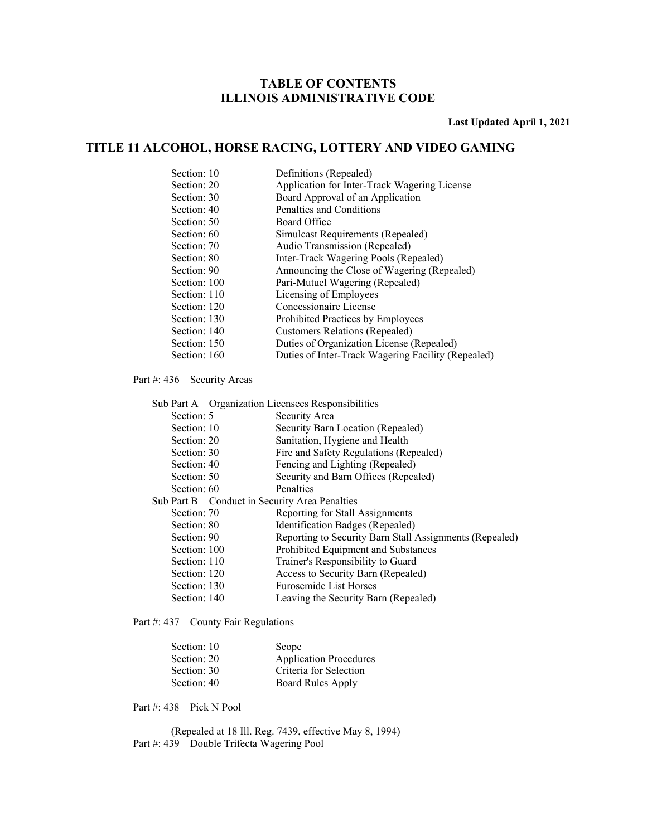**Last Updated April 1, 2021** 

### **TITLE 11 ALCOHOL, HORSE RACING, LOTTERY AND VIDEO GAMING**

| Section: 10  | Definitions (Repealed)                             |
|--------------|----------------------------------------------------|
| Section: 20  | Application for Inter-Track Wagering License       |
| Section: 30  | Board Approval of an Application                   |
| Section: 40  | Penalties and Conditions                           |
| Section: 50  | Board Office                                       |
| Section: 60  | Simulcast Requirements (Repealed)                  |
| Section: 70  | Audio Transmission (Repealed)                      |
| Section: 80  | Inter-Track Wagering Pools (Repealed)              |
| Section: 90  | Announcing the Close of Wagering (Repealed)        |
| Section: 100 | Pari-Mutuel Wagering (Repealed)                    |
| Section: 110 | Licensing of Employees                             |
| Section: 120 | Concessionaire License                             |
| Section: 130 | Prohibited Practices by Employees                  |
| Section: 140 | <b>Customers Relations (Repealed)</b>              |
| Section: 150 | Duties of Organization License (Repealed)          |
| Section: 160 | Duties of Inter-Track Wagering Facility (Repealed) |
|              |                                                    |

Part #: 436 Security Areas

|             |              | Sub Part A Organization Licensees Responsibilities      |
|-------------|--------------|---------------------------------------------------------|
| Section: 5  |              | Security Area                                           |
| Section: 10 |              | Security Barn Location (Repealed)                       |
| Section: 20 |              | Sanitation, Hygiene and Health                          |
| Section: 30 |              | Fire and Safety Regulations (Repealed)                  |
| Section: 40 |              | Fencing and Lighting (Repealed)                         |
| Section: 50 |              | Security and Barn Offices (Repealed)                    |
| Section: 60 |              | <b>Penalties</b>                                        |
|             |              | Sub Part B Conduct in Security Area Penalties           |
| Section: 70 |              | Reporting for Stall Assignments                         |
| Section: 80 |              | Identification Badges (Repealed)                        |
| Section: 90 |              | Reporting to Security Barn Stall Assignments (Repealed) |
|             | Section: 100 | Prohibited Equipment and Substances                     |
|             | Section: 110 | Trainer's Responsibility to Guard                       |
|             | Section: 120 | Access to Security Barn (Repealed)                      |
|             | Section: 130 | Furosemide List Horses                                  |
|             | Section: 140 | Leaving the Security Barn (Repealed)                    |

Part #: 437 County Fair Regulations

| Section: 10 | Scope                         |
|-------------|-------------------------------|
| Section: 20 | <b>Application Procedures</b> |
| Section: 30 | Criteria for Selection        |
| Section: 40 | Board Rules Apply             |

Part #: 438 Pick N Pool

 (Repealed at 18 Ill. Reg. 7439, effective May 8, 1994) Part #: 439 Double Trifecta Wagering Pool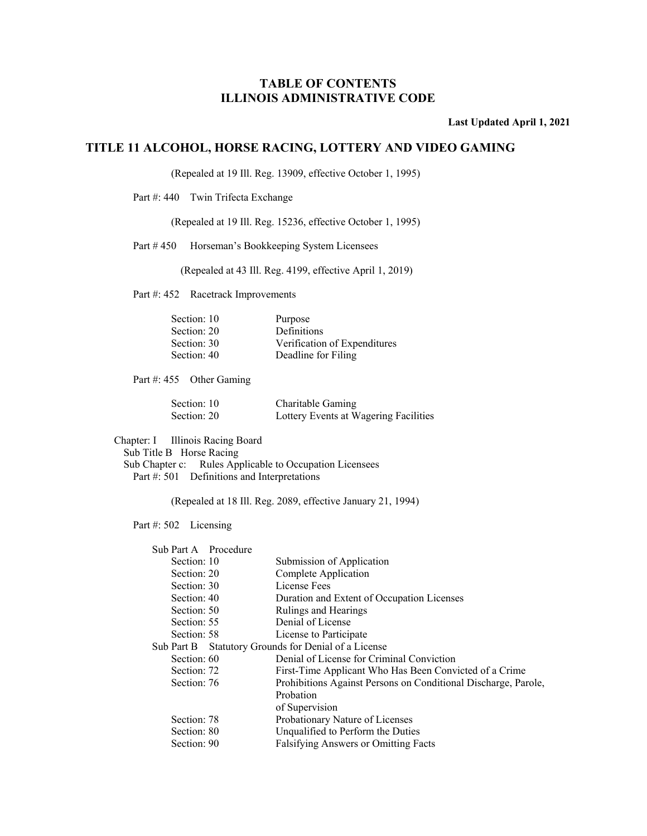**Last Updated April 1, 2021** 

### **TITLE 11 ALCOHOL, HORSE RACING, LOTTERY AND VIDEO GAMING**

(Repealed at 19 Ill. Reg. 13909, effective October 1, 1995)

Part #: 440 Twin Trifecta Exchange

(Repealed at 19 Ill. Reg. 15236, effective October 1, 1995)

Part # 450 Horseman's Bookkeeping System Licensees

(Repealed at 43 Ill. Reg. 4199, effective April 1, 2019)

Part #: 452 Racetrack Improvements

| Section: 10 | Purpose                      |
|-------------|------------------------------|
| Section: 20 | <b>Definitions</b>           |
| Section: 30 | Verification of Expenditures |
| Section: 40 | Deadline for Filing          |

Part #: 455 Other Gaming

| Section: 10 | Charitable Gaming                     |
|-------------|---------------------------------------|
| Section: 20 | Lottery Events at Wagering Facilities |

Chapter: I Illinois Racing Board

Sub Title B Horse Racing

 Sub Chapter c: Rules Applicable to Occupation Licensees Part #: 501 Definitions and Interpretations

(Repealed at 18 Ill. Reg. 2089, effective January 21, 1994)

#### Part #: 502 Licensing

| Sub Part A Procedure                                 |                                                                |
|------------------------------------------------------|----------------------------------------------------------------|
| Section: 10                                          | Submission of Application                                      |
| Section: 20                                          | Complete Application                                           |
| Section: 30                                          | License Fees                                                   |
| Section: 40                                          | Duration and Extent of Occupation Licenses                     |
| Section: 50                                          | Rulings and Hearings                                           |
| Section: 55                                          | Denial of License                                              |
| Section: 58                                          | License to Participate                                         |
| Sub Part B Statutory Grounds for Denial of a License |                                                                |
| Section: 60                                          | Denial of License for Criminal Conviction                      |
| Section: 72                                          | First-Time Applicant Who Has Been Convicted of a Crime         |
| Section: 76                                          | Prohibitions Against Persons on Conditional Discharge, Parole, |
|                                                      | Probation                                                      |
|                                                      | of Supervision                                                 |
| Section: 78                                          | Probationary Nature of Licenses                                |
| Section: 80                                          | Unqualified to Perform the Duties                              |
| Section: 90                                          | <b>Falsifying Answers or Omitting Facts</b>                    |
|                                                      |                                                                |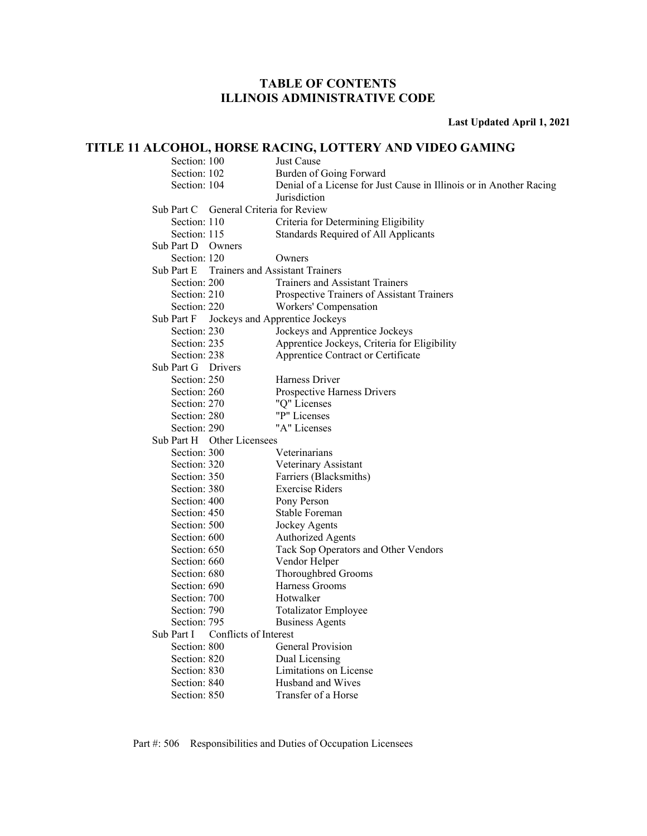**Last Updated April 1, 2021** 

### **TITLE 11 ALCOHOL, HORSE RACING, LOTTERY AND VIDEO GAMING**

| Section: 100       |                                        | Just Cause                                                          |
|--------------------|----------------------------------------|---------------------------------------------------------------------|
| Section: 102       |                                        | Burden of Going Forward                                             |
| Section: 104       |                                        | Denial of a License for Just Cause in Illinois or in Another Racing |
|                    |                                        | Jurisdiction                                                        |
|                    | Sub Part C General Criteria for Review |                                                                     |
| Section: 110       |                                        | Criteria for Determining Eligibility                                |
| Section: 115       |                                        | Standards Required of All Applicants                                |
| Sub Part D Owners  |                                        |                                                                     |
| Section: 120       |                                        | Owners                                                              |
| Sub Part E         |                                        | <b>Trainers and Assistant Trainers</b>                              |
| Section: 200       |                                        | <b>Trainers and Assistant Trainers</b>                              |
| Section: 210       |                                        | Prospective Trainers of Assistant Trainers                          |
| Section: 220       |                                        | Workers' Compensation                                               |
| Sub Part F         |                                        | Jockeys and Apprentice Jockeys                                      |
| Section: 230       |                                        | Jockeys and Apprentice Jockeys                                      |
| Section: 235       |                                        | Apprentice Jockeys, Criteria for Eligibility                        |
| Section: 238       |                                        | Apprentice Contract or Certificate                                  |
| Sub Part G Drivers |                                        |                                                                     |
| Section: 250       |                                        | Harness Driver                                                      |
| Section: 260       |                                        | Prospective Harness Drivers                                         |
| Section: 270       |                                        | "Q" Licenses                                                        |
| Section: 280       |                                        | "P" Licenses                                                        |
| Section: 290       |                                        | "A" Licenses                                                        |
|                    | Sub Part H Other Licensees             |                                                                     |
| Section: 300       |                                        | Veterinarians                                                       |
| Section: 320       |                                        | Veterinary Assistant                                                |
| Section: 350       |                                        | Farriers (Blacksmiths)                                              |
| Section: 380       |                                        | <b>Exercise Riders</b>                                              |
| Section: 400       |                                        | Pony Person                                                         |
| Section: 450       |                                        | Stable Foreman                                                      |
| Section: 500       |                                        | Jockey Agents                                                       |
| Section: 600       |                                        | <b>Authorized Agents</b>                                            |
| Section: 650       |                                        | Tack Sop Operators and Other Vendors                                |
| Section: 660       |                                        | Vendor Helper                                                       |
| Section: 680       |                                        | Thoroughbred Grooms                                                 |
| Section: 690       |                                        | Harness Grooms                                                      |
| Section: 700       |                                        | Hotwalker                                                           |
| Section: 790       |                                        | Totalizator Employee                                                |
| Section: 795       |                                        | <b>Business Agents</b>                                              |
| Sub Part I         | Conflicts of Interest                  |                                                                     |
| Section: 800       |                                        | General Provision                                                   |
| Section: 820       |                                        | Dual Licensing                                                      |
| Section: 830       |                                        | Limitations on License                                              |
| Section: 840       |                                        | Husband and Wives                                                   |
| Section: 850       |                                        | Transfer of a Horse                                                 |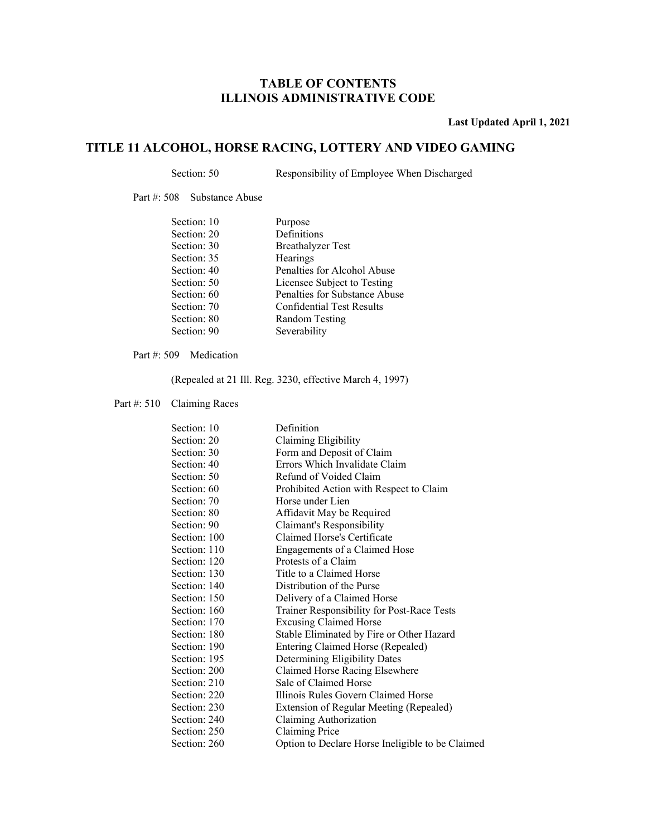**Last Updated April 1, 2021** 

### **TITLE 11 ALCOHOL, HORSE RACING, LOTTERY AND VIDEO GAMING**

Section: 50 Responsibility of Employee When Discharged

Part #: 508 Substance Abuse

| Section: 10 | Purpose                          |
|-------------|----------------------------------|
| Section: 20 | Definitions                      |
| Section: 30 | <b>Breathalyzer Test</b>         |
| Section: 35 | Hearings                         |
| Section: 40 | Penalties for Alcohol Abuse      |
| Section: 50 | Licensee Subject to Testing      |
| Section: 60 | Penalties for Substance Abuse    |
| Section: 70 | <b>Confidential Test Results</b> |
| Section: 80 | Random Testing                   |
| Section: 90 | Severability                     |
|             |                                  |

Part #: 509 Medication

(Repealed at 21 Ill. Reg. 3230, effective March 4, 1997)

Part #: 510 Claiming Races

| Section: 10  | Definition                                       |
|--------------|--------------------------------------------------|
| Section: 20  | Claiming Eligibility                             |
| Section: 30  | Form and Deposit of Claim                        |
| Section: 40  | Errors Which Invalidate Claim                    |
| Section: 50  | Refund of Voided Claim                           |
| Section: 60  | Prohibited Action with Respect to Claim          |
| Section: 70  | Horse under Lien                                 |
| Section: 80  | Affidavit May be Required                        |
| Section: 90  | Claimant's Responsibility                        |
| Section: 100 | Claimed Horse's Certificate                      |
| Section: 110 | Engagements of a Claimed Hose                    |
| Section: 120 | Protests of a Claim                              |
| Section: 130 | Title to a Claimed Horse                         |
| Section: 140 | Distribution of the Purse                        |
| Section: 150 | Delivery of a Claimed Horse                      |
| Section: 160 | Trainer Responsibility for Post-Race Tests       |
| Section: 170 | <b>Excusing Claimed Horse</b>                    |
| Section: 180 | Stable Eliminated by Fire or Other Hazard        |
| Section: 190 | Entering Claimed Horse (Repealed)                |
| Section: 195 | Determining Eligibility Dates                    |
| Section: 200 | Claimed Horse Racing Elsewhere                   |
| Section: 210 | Sale of Claimed Horse                            |
| Section: 220 | Illinois Rules Govern Claimed Horse              |
| Section: 230 | Extension of Regular Meeting (Repealed)          |
| Section: 240 | Claiming Authorization                           |
| Section: 250 | Claiming Price                                   |
| Section: 260 | Option to Declare Horse Ineligible to be Claimed |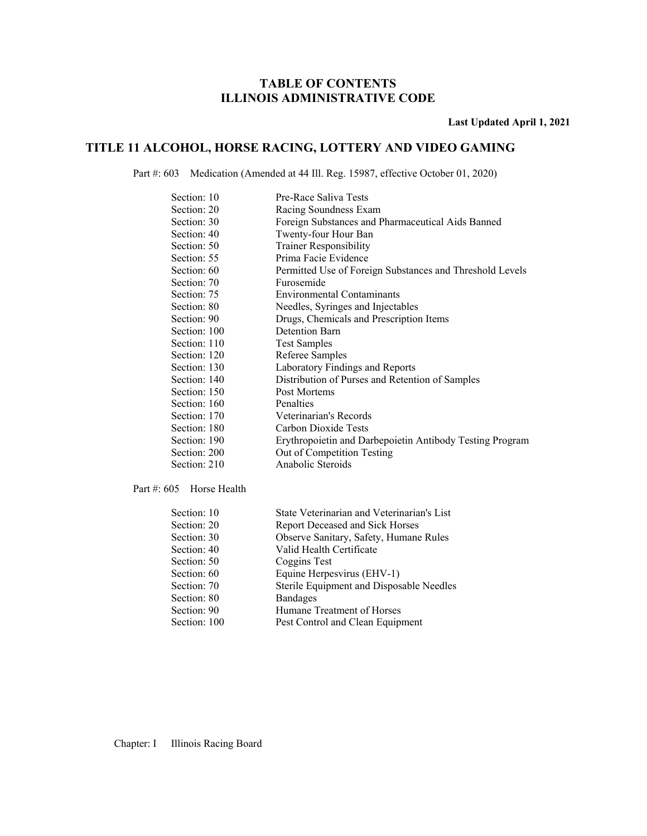**Last Updated April 1, 2021** 

### **TITLE 11 ALCOHOL, HORSE RACING, LOTTERY AND VIDEO GAMING**

Part #: 603 Medication (Amended at 44 Ill. Reg. 15987, effective October 01, 2020)

| Section: 10  | Pre-Race Saliva Tests                                    |
|--------------|----------------------------------------------------------|
| Section: 20  | Racing Soundness Exam                                    |
| Section: 30  | Foreign Substances and Pharmaceutical Aids Banned        |
| Section: 40  | Twenty-four Hour Ban                                     |
| Section: 50  | <b>Trainer Responsibility</b>                            |
| Section: 55  | Prima Facie Evidence                                     |
| Section: 60  | Permitted Use of Foreign Substances and Threshold Levels |
| Section: 70  | Furosemide                                               |
| Section: 75  | Environmental Contaminants                               |
| Section: 80  | Needles, Syringes and Injectables                        |
| Section: 90  | Drugs, Chemicals and Prescription Items                  |
| Section: 100 | Detention Barn                                           |
| Section: 110 | <b>Test Samples</b>                                      |
| Section: 120 | Referee Samples                                          |
| Section: 130 | Laboratory Findings and Reports                          |
| Section: 140 | Distribution of Purses and Retention of Samples          |
| Section: 150 | Post Mortems                                             |
| Section: 160 | Penalties                                                |
| Section: 170 | Veterinarian's Records                                   |
| Section: 180 | Carbon Dioxide Tests                                     |
| Section: 190 | Erythropoietin and Darbepoietin Antibody Testing Program |
| Section: 200 | Out of Competition Testing                               |
| Section: 210 | Anabolic Steroids                                        |

Part #: 605 Horse Health

| Section: 10  | State Veterinarian and Veterinarian's List |
|--------------|--------------------------------------------|
| Section: 20  | Report Deceased and Sick Horses            |
| Section: 30  | Observe Sanitary, Safety, Humane Rules     |
| Section: 40  | Valid Health Certificate                   |
| Section: 50  | Coggins Test                               |
| Section: 60  | Equine Herpesvirus (EHV-1)                 |
| Section: 70  | Sterile Equipment and Disposable Needles   |
| Section: 80  | <b>Bandages</b>                            |
| Section: 90  | Humane Treatment of Horses                 |
| Section: 100 | Pest Control and Clean Equipment           |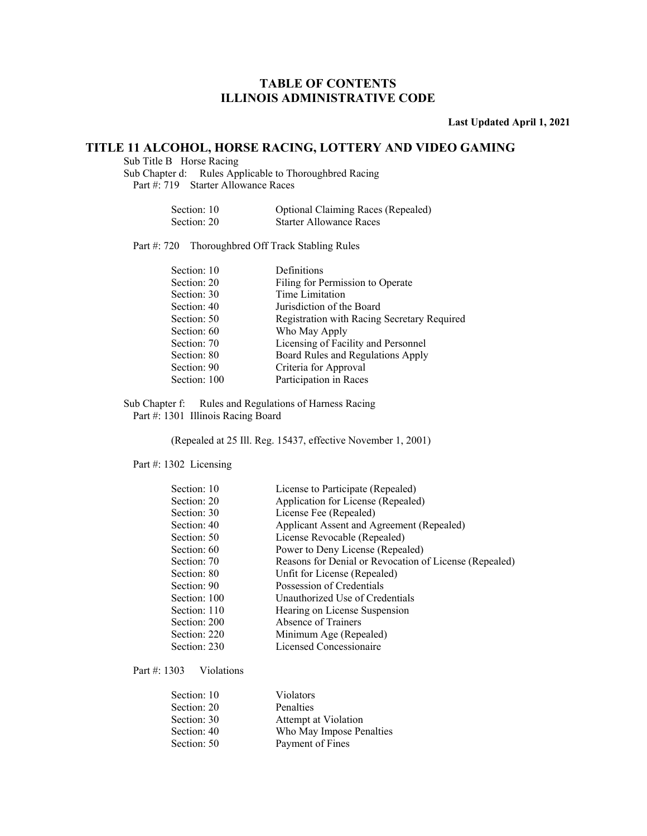**Last Updated April 1, 2021** 

### **TITLE 11 ALCOHOL, HORSE RACING, LOTTERY AND VIDEO GAMING**

Sub Title B Horse Racing

Sub Chapter d: Rules Applicable to Thoroughbred Racing Part #: 719 Starter Allowance Races

| Section: 10 | <b>Optional Claiming Races (Repealed)</b> |
|-------------|-------------------------------------------|
| Section: 20 | <b>Starter Allowance Races</b>            |

Part #: 720 Thoroughbred Off Track Stabling Rules

| Section: 10  | Definitions                                 |
|--------------|---------------------------------------------|
| Section: 20  | Filing for Permission to Operate            |
| Section: 30  | Time Limitation                             |
| Section: 40  | Jurisdiction of the Board                   |
| Section: 50  | Registration with Racing Secretary Required |
| Section: 60  | Who May Apply                               |
| Section: 70  | Licensing of Facility and Personnel         |
| Section: 80  | Board Rules and Regulations Apply           |
| Section: 90  | Criteria for Approval                       |
| Section: 100 | Participation in Races                      |
|              |                                             |

Sub Chapter f: Rules and Regulations of Harness Racing Part #: 1301 Illinois Racing Board

(Repealed at 25 Ill. Reg. 15437, effective November 1, 2001)

Part #: 1302 Licensing

| Section: 10  | License to Participate (Repealed)                      |
|--------------|--------------------------------------------------------|
| Section: 20  | Application for License (Repealed)                     |
| Section: 30  | License Fee (Repealed)                                 |
| Section: 40  | Applicant Assent and Agreement (Repealed)              |
| Section: 50  | License Revocable (Repealed)                           |
| Section: 60  | Power to Deny License (Repealed)                       |
| Section: 70  | Reasons for Denial or Revocation of License (Repealed) |
| Section: 80  | Unfit for License (Repealed)                           |
| Section: 90  | Possession of Credentials                              |
| Section: 100 | Unauthorized Use of Credentials                        |
| Section: 110 | Hearing on License Suspension                          |
| Section: 200 | Absence of Trainers                                    |
| Section: 220 | Minimum Age (Repealed)                                 |
| Section: 230 | Licensed Concessionaire                                |

Part #: 1303 Violations

| Section: 10 | Violators                |
|-------------|--------------------------|
| Section: 20 | <b>Penalties</b>         |
| Section: 30 | Attempt at Violation     |
| Section: 40 | Who May Impose Penalties |
| Section: 50 | Payment of Fines         |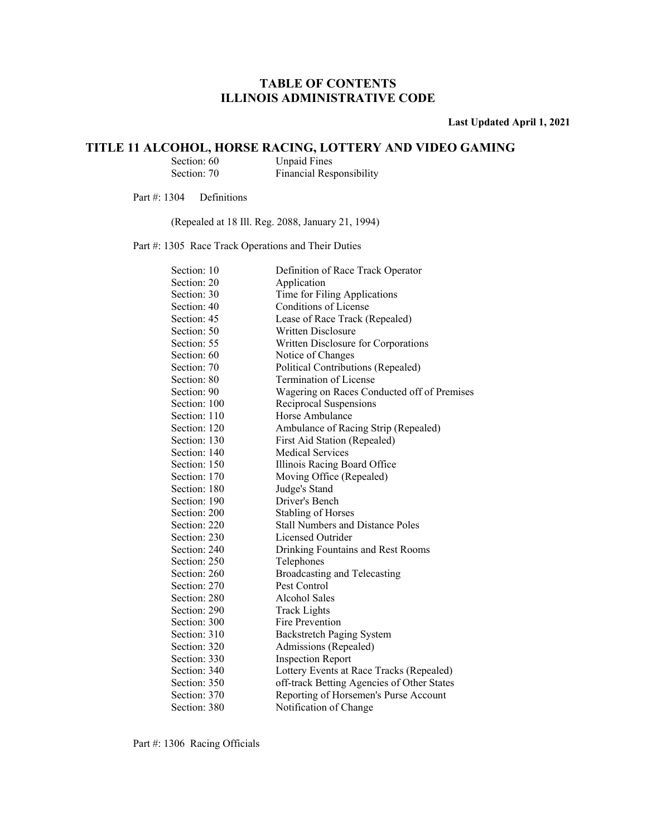**Last Updated April 1, 2021** 

## **TITLE 11 ALCOHOL, HORSE RACING, LOTTERY AND VIDEO GAMING**<br>Section: 60 Unpaid Fines

Section: 60 Unpaid Fines<br>Section: 70 Financial Res Financial Responsibility

Part #: 1304 Definitions

(Repealed at 18 Ill. Reg. 2088, January 21, 1994)

Part #: 1305 Race Track Operations and Their Duties

| Section: 10  | Definition of Race Track Operator           |
|--------------|---------------------------------------------|
| Section: 20  | Application                                 |
| Section: 30  | Time for Filing Applications                |
| Section: 40  | Conditions of License                       |
| Section: 45  | Lease of Race Track (Repealed)              |
| Section: 50  | Written Disclosure                          |
| Section: 55  | Written Disclosure for Corporations         |
| Section: 60  | Notice of Changes                           |
| Section: 70  | Political Contributions (Repealed)          |
| Section: 80  | Termination of License                      |
| Section: 90  | Wagering on Races Conducted off of Premises |
| Section: 100 | Reciprocal Suspensions                      |
| Section: 110 | Horse Ambulance                             |
| Section: 120 | Ambulance of Racing Strip (Repealed)        |
| Section: 130 | First Aid Station (Repealed)                |
| Section: 140 | <b>Medical Services</b>                     |
| Section: 150 | Illinois Racing Board Office                |
| Section: 170 | Moving Office (Repealed)                    |
| Section: 180 | Judge's Stand                               |
| Section: 190 | Driver's Bench                              |
| Section: 200 | <b>Stabling of Horses</b>                   |
| Section: 220 | <b>Stall Numbers and Distance Poles</b>     |
| Section: 230 | Licensed Outrider                           |
| Section: 240 | Drinking Fountains and Rest Rooms           |
| Section: 250 | Telephones                                  |
| Section: 260 | Broadcasting and Telecasting                |
| Section: 270 | Pest Control                                |
| Section: 280 | Alcohol Sales                               |
| Section: 290 | <b>Track Lights</b>                         |
| Section: 300 | Fire Prevention                             |
| Section: 310 | <b>Backstretch Paging System</b>            |
| Section: 320 | Admissions (Repealed)                       |
| Section: 330 | <b>Inspection Report</b>                    |
| Section: 340 | Lottery Events at Race Tracks (Repealed)    |
| Section: 350 | off-track Betting Agencies of Other States  |
| Section: 370 | Reporting of Horsemen's Purse Account       |
| Section: 380 | Notification of Change                      |

Part #: 1306 Racing Officials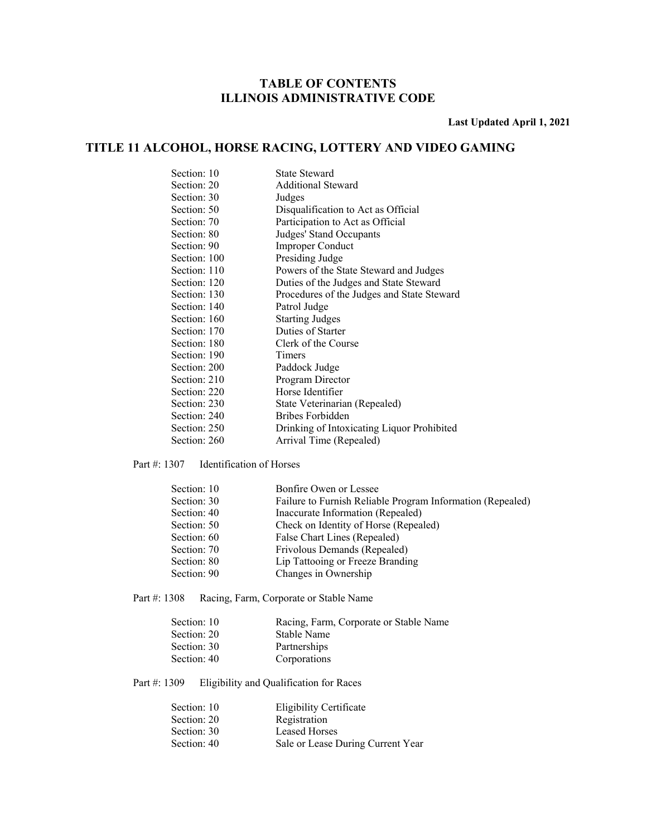**Last Updated April 1, 2021** 

### **TITLE 11 ALCOHOL, HORSE RACING, LOTTERY AND VIDEO GAMING**

| Section: 10  | State Steward                              |
|--------------|--------------------------------------------|
| Section: 20  | <b>Additional Steward</b>                  |
| Section: 30  | Judges                                     |
| Section: 50  | Disqualification to Act as Official        |
| Section: 70  | Participation to Act as Official           |
| Section: 80  | Judges' Stand Occupants                    |
| Section: 90  | Improper Conduct                           |
| Section: 100 | Presiding Judge                            |
| Section: 110 | Powers of the State Steward and Judges     |
| Section: 120 | Duties of the Judges and State Steward     |
| Section: 130 | Procedures of the Judges and State Steward |
| Section: 140 | Patrol Judge                               |
| Section: 160 | <b>Starting Judges</b>                     |
| Section: 170 | Duties of Starter                          |
| Section: 180 | Clerk of the Course                        |
| Section: 190 | Timers                                     |
| Section: 200 | Paddock Judge                              |
| Section: 210 | Program Director                           |
| Section: 220 | Horse Identifier                           |
| Section: 230 | State Veterinarian (Repealed)              |
| Section: 240 | Bribes Forbidden                           |
| Section: 250 | Drinking of Intoxicating Liquor Prohibited |
| Section: 260 | Arrival Time (Repealed)                    |
|              |                                            |

#### Part #: 1307 Identification of Horses

| Section: 10 | Bonfire Owen or Lessee                                     |
|-------------|------------------------------------------------------------|
| Section: 30 | Failure to Furnish Reliable Program Information (Repealed) |
| Section: 40 | Inaccurate Information (Repealed)                          |
| Section: 50 | Check on Identity of Horse (Repealed)                      |
| Section: 60 | False Chart Lines (Repealed)                               |
| Section: 70 | Frivolous Demands (Repealed)                               |
| Section: 80 | Lip Tattooing or Freeze Branding                           |
| Section: 90 | Changes in Ownership                                       |

Part #: 1308 Racing, Farm, Corporate or Stable Name

| Racing, Farm, Corporate or Stable Name |
|----------------------------------------|
| Stable Name                            |
| Partnerships                           |
| Corporations                           |
|                                        |

Part #: 1309 Eligibility and Qualification for Races

| Section: 10 | <b>Eligibility Certificate</b>    |
|-------------|-----------------------------------|
| Section: 20 | Registration                      |
| Section: 30 | <b>Leased Horses</b>              |
| Section: 40 | Sale or Lease During Current Year |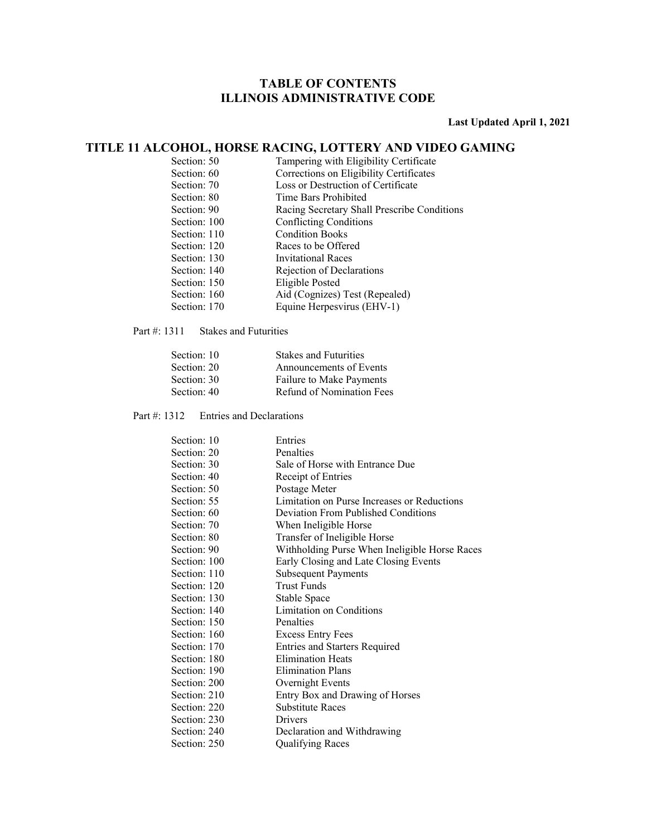**Last Updated April 1, 2021** 

### **TITLE 11 ALCOHOL, HORSE RACING, LOTTERY AND VIDEO GAMING**

| Section: 50  | Tampering with Eligibility Certificate      |
|--------------|---------------------------------------------|
| Section: 60  | Corrections on Eligibility Certificates     |
| Section: 70  | Loss or Destruction of Certificate          |
| Section: 80  | Time Bars Prohibited                        |
| Section: 90  | Racing Secretary Shall Prescribe Conditions |
| Section: 100 | <b>Conflicting Conditions</b>               |
| Section: 110 | <b>Condition Books</b>                      |
| Section: 120 | Races to be Offered                         |
| Section: 130 | Invitational Races                          |
| Section: 140 | Rejection of Declarations                   |
| Section: 150 | Eligible Posted                             |
| Section: 160 | Aid (Cognizes) Test (Repealed)              |
| Section: 170 | Equine Herpesvirus (EHV-1)                  |
|              |                                             |

Part #: 1311 Stakes and Futurities

| Section: 10 | <b>Stakes and Futurities</b> |
|-------------|------------------------------|
| Section: 20 | Announcements of Events      |
| Section: 30 | Failure to Make Payments     |
| Section: 40 | Refund of Nomination Fees    |

Part #: 1312 Entries and Declarations

| Section: 10  | Entries                                       |
|--------------|-----------------------------------------------|
| Section: 20  | Penalties                                     |
| Section: 30  | Sale of Horse with Entrance Due               |
| Section: 40  | Receipt of Entries                            |
| Section: 50  | Postage Meter                                 |
| Section: 55  | Limitation on Purse Increases or Reductions   |
| Section: 60  | Deviation From Published Conditions           |
| Section: 70  | When Ineligible Horse                         |
| Section: 80  | Transfer of Ineligible Horse                  |
| Section: 90  | Withholding Purse When Ineligible Horse Races |
| Section: 100 | Early Closing and Late Closing Events         |
| Section: 110 | <b>Subsequent Payments</b>                    |
| Section: 120 | <b>Trust Funds</b>                            |
| Section: 130 | Stable Space                                  |
| Section: 140 | Limitation on Conditions                      |
| Section: 150 | Penalties                                     |
| Section: 160 | <b>Excess Entry Fees</b>                      |
| Section: 170 | <b>Entries and Starters Required</b>          |
| Section: 180 | <b>Elimination Heats</b>                      |
| Section: 190 | <b>Elimination Plans</b>                      |
| Section: 200 | Overnight Events                              |
| Section: 210 | Entry Box and Drawing of Horses               |
| Section: 220 | <b>Substitute Races</b>                       |
| Section: 230 | Drivers                                       |
| Section: 240 | Declaration and Withdrawing                   |
| Section: 250 | <b>Qualifying Races</b>                       |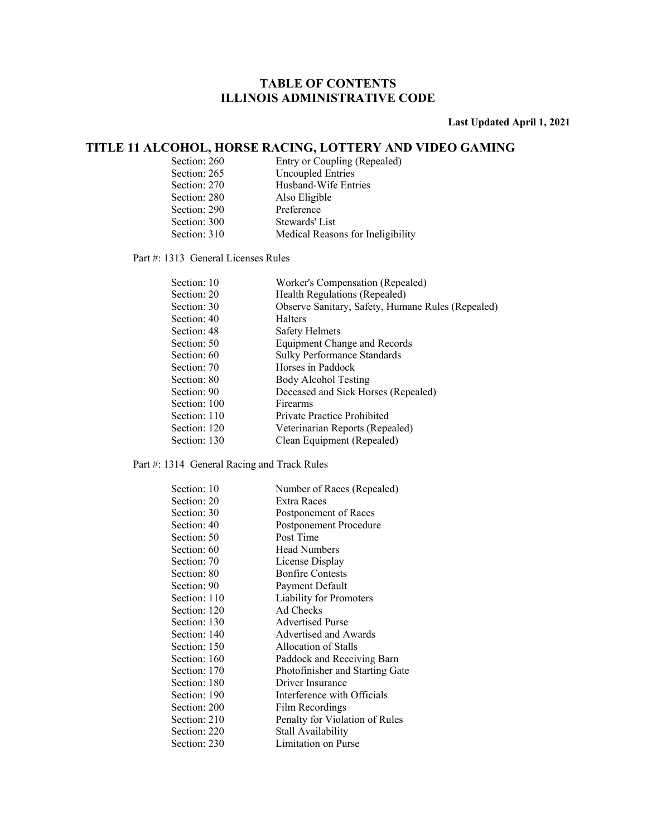**Last Updated April 1, 2021** 

### **TITLE 11 ALCOHOL, HORSE RACING, LOTTERY AND VIDEO GAMING**

| Section: 260 | Entry or Coupling (Repealed)      |
|--------------|-----------------------------------|
| Section: 265 | Uncoupled Entries                 |
| Section: 270 | Husband-Wife Entries              |
| Section: 280 | Also Eligible                     |
| Section: 290 | Preference                        |
| Section: 300 | Stewards' List                    |
| Section: 310 | Medical Reasons for Ineligibility |

Part #: 1313 General Licenses Rules

| Section: 10  | Worker's Compensation (Repealed)                  |
|--------------|---------------------------------------------------|
| Section: 20  | Health Regulations (Repealed)                     |
| Section: 30  | Observe Sanitary, Safety, Humane Rules (Repealed) |
| Section: 40  | Halters                                           |
| Section: 48  | Safety Helmets                                    |
| Section: 50  | Equipment Change and Records                      |
| Section: 60  | Sulky Performance Standards                       |
| Section: 70  | Horses in Paddock                                 |
| Section: 80  | Body Alcohol Testing                              |
| Section: 90  | Deceased and Sick Horses (Repealed)               |
| Section: 100 | Firearms                                          |
| Section: 110 | Private Practice Prohibited                       |
| Section: 120 | Veterinarian Reports (Repealed)                   |
| Section: 130 | Clean Equipment (Repealed)                        |

### Part #: 1314 General Racing and Track Rules

| Section: 10  | Number of Races (Repealed)      |
|--------------|---------------------------------|
| Section: 20  | Extra Races                     |
| Section: 30  | Postponement of Races           |
| Section: 40  | <b>Postponement Procedure</b>   |
| Section: 50  | Post Time                       |
| Section: 60  | <b>Head Numbers</b>             |
| Section: 70  | License Display                 |
| Section: 80  | <b>Bonfire Contests</b>         |
| Section: 90  | Payment Default                 |
| Section: 110 | Liability for Promoters         |
| Section: 120 | Ad Checks                       |
| Section: 130 | <b>Advertised Purse</b>         |
| Section: 140 | <b>Advertised and Awards</b>    |
| Section: 150 | Allocation of Stalls            |
| Section: 160 | Paddock and Receiving Barn      |
| Section: 170 | Photofinisher and Starting Gate |
| Section: 180 | Driver Insurance                |
| Section: 190 | Interference with Officials     |
| Section: 200 | Film Recordings                 |
| Section: 210 | Penalty for Violation of Rules  |
| Section: 220 | Stall Availability              |
| Section: 230 | Limitation on Purse             |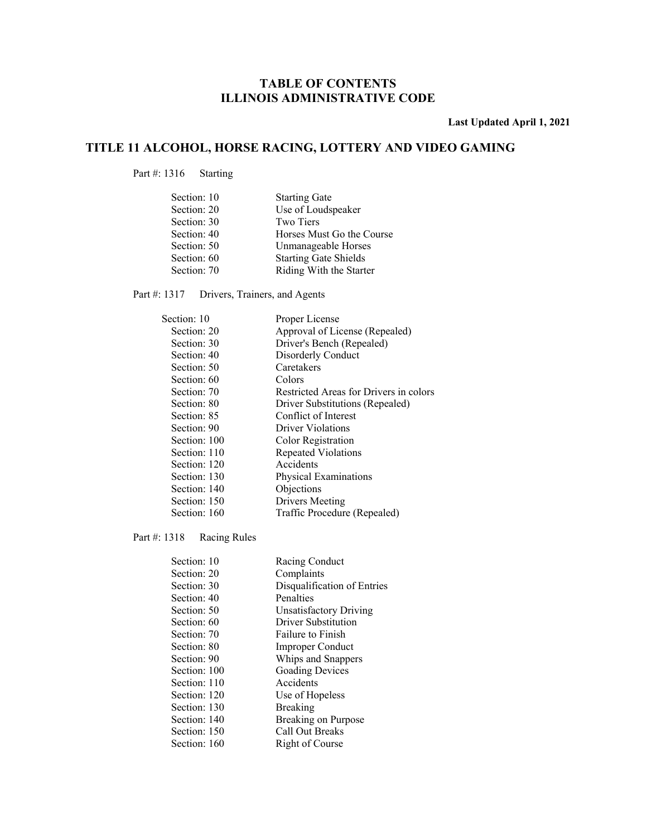**Last Updated April 1, 2021** 

### **TITLE 11 ALCOHOL, HORSE RACING, LOTTERY AND VIDEO GAMING**

Part #: 1316 Starting

| Section: 10 | <b>Starting Gate</b>         |
|-------------|------------------------------|
| Section: 20 | Use of Loudspeaker           |
| Section: 30 | Two Tiers                    |
| Section: 40 | Horses Must Go the Course    |
| Section: 50 | Unmanageable Horses          |
| Section: 60 | <b>Starting Gate Shields</b> |
| Section: 70 | Riding With the Starter      |

Part #: 1317 Drivers, Trainers, and Agents

| Section: 10  | Proper License                         |
|--------------|----------------------------------------|
| Section: 20  | Approval of License (Repealed)         |
| Section: 30  | Driver's Bench (Repealed)              |
| Section: 40  | Disorderly Conduct                     |
| Section: 50  | Caretakers                             |
| Section: 60  | Colors                                 |
| Section: 70  | Restricted Areas for Drivers in colors |
| Section: 80  | Driver Substitutions (Repealed)        |
| Section: 85  | Conflict of Interest                   |
| Section: 90  | Driver Violations                      |
| Section: 100 | Color Registration                     |
| Section: 110 | <b>Repeated Violations</b>             |
| Section: 120 | Accidents                              |
| Section: 130 | Physical Examinations                  |
| Section: 140 | Objections                             |
| Section: 150 | Drivers Meeting                        |
| Section: 160 | Traffic Procedure (Repealed)           |
|              |                                        |

Part #: 1318 Racing Rules

| Section: 10  | Racing Conduct              |
|--------------|-----------------------------|
| Section: 20  | Complaints                  |
| Section: 30  | Disqualification of Entries |
| Section: 40  | Penalties                   |
| Section: 50  | Unsatisfactory Driving      |
| Section: 60  | Driver Substitution         |
| Section: 70  | Failure to Finish           |
| Section: 80  | <b>Improper Conduct</b>     |
| Section: 90  | Whips and Snappers          |
| Section: 100 | <b>Goading Devices</b>      |
| Section: 110 | Accidents                   |
| Section: 120 | Use of Hopeless             |
| Section: 130 | <b>Breaking</b>             |
| Section: 140 | Breaking on Purpose         |
| Section: 150 | Call Out Breaks             |
| Section: 160 | Right of Course             |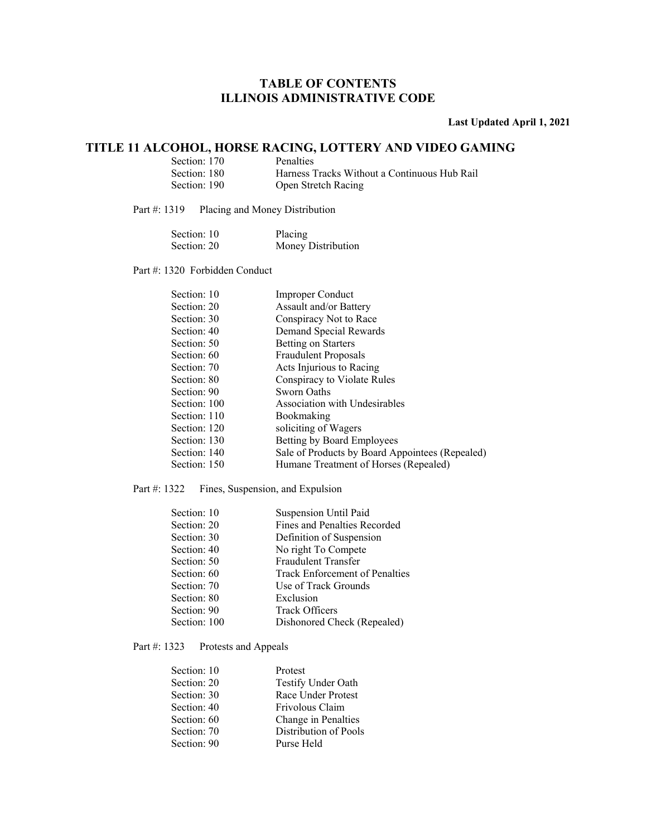### **Last Updated April 1, 2021**

### **TITLE 11 ALCOHOL, HORSE RACING, LOTTERY AND VIDEO GAMING**

| Section: 170 | Penalties                                    |
|--------------|----------------------------------------------|
| Section: 180 | Harness Tracks Without a Continuous Hub Rail |
| Section: 190 | Open Stretch Racing                          |

Part #: 1319 Placing and Money Distribution

| Section: 10 | Placing            |
|-------------|--------------------|
| Section: 20 | Money Distribution |

Part #: 1320 Forbidden Conduct

| Section: 10  | <b>Improper Conduct</b>                         |
|--------------|-------------------------------------------------|
| Section: 20  | Assault and/or Battery                          |
| Section: 30  | Conspiracy Not to Race                          |
| Section: 40  | Demand Special Rewards                          |
| Section: 50  | <b>Betting on Starters</b>                      |
| Section: 60  | <b>Fraudulent Proposals</b>                     |
| Section: 70  | Acts Injurious to Racing                        |
| Section: 80  | Conspiracy to Violate Rules                     |
| Section: 90  | Sworn Oaths                                     |
| Section: 100 | Association with Undesirables                   |
| Section: 110 | Bookmaking                                      |
| Section: 120 | soliciting of Wagers                            |
| Section: 130 | Betting by Board Employees                      |
| Section: 140 | Sale of Products by Board Appointees (Repealed) |
| Section: 150 | Humane Treatment of Horses (Repealed)           |
|              |                                                 |

#### Part #: 1322 Fines, Suspension, and Expulsion

| Section: 10  | <b>Suspension Until Paid</b>   |
|--------------|--------------------------------|
| Section: 20  | Fines and Penalties Recorded   |
| Section: 30  | Definition of Suspension       |
| Section: 40  | No right To Compete            |
| Section: 50  | Fraudulent Transfer            |
| Section: 60  | Track Enforcement of Penalties |
| Section: 70  | Use of Track Grounds           |
| Section: 80  | Exclusion                      |
| Section: 90  | <b>Track Officers</b>          |
| Section: 100 | Dishonored Check (Repealed)    |
|              |                                |

#### Part #: 1323 Protests and Appeals

| Section: 10 | Protest               |
|-------------|-----------------------|
| Section: 20 | Testify Under Oath    |
| Section: 30 | Race Under Protest    |
| Section: 40 | Frivolous Claim       |
| Section: 60 | Change in Penalties   |
| Section: 70 | Distribution of Pools |
| Section: 90 | Purse Held            |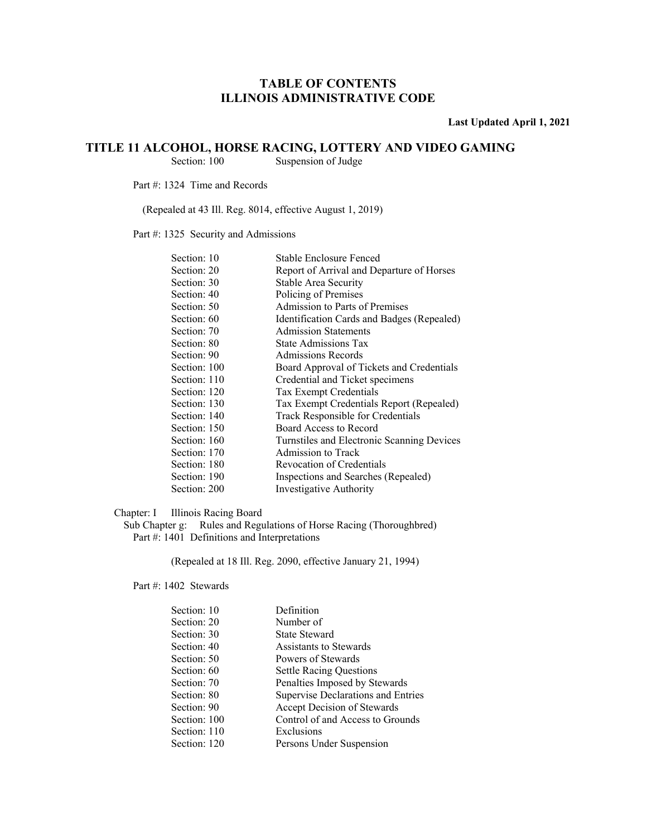**Last Updated April 1, 2021** 

## **TITLE 11 ALCOHOL, HORSE RACING, LOTTERY AND VIDEO GAMING**<br>Section: 100 Suspension of Judge

Suspension of Judge

Part #: 1324 Time and Records

(Repealed at 43 Ill. Reg. 8014, effective August 1, 2019)

Part #: 1325 Security and Admissions

| Section: 10  | Stable Enclosure Fenced                    |
|--------------|--------------------------------------------|
| Section: 20  | Report of Arrival and Departure of Horses  |
| Section: 30  | Stable Area Security                       |
| Section: 40  | Policing of Premises                       |
| Section: 50  | Admission to Parts of Premises             |
| Section: 60  | Identification Cards and Badges (Repealed) |
| Section: 70  | <b>Admission Statements</b>                |
| Section: 80  | State Admissions Tax                       |
| Section: 90  | Admissions Records                         |
| Section: 100 | Board Approval of Tickets and Credentials  |
| Section: 110 | Credential and Ticket specimens            |
| Section: 120 | Tax Exempt Credentials                     |
| Section: 130 | Tax Exempt Credentials Report (Repealed)   |
| Section: 140 | Track Responsible for Credentials          |
| Section: 150 | Board Access to Record                     |
| Section: 160 | Turnstiles and Electronic Scanning Devices |
| Section: 170 | Admission to Track                         |
| Section: 180 | Revocation of Credentials                  |
| Section: 190 | Inspections and Searches (Repealed)        |
| Section: 200 | Investigative Authority                    |
|              |                                            |

#### Chapter: I Illinois Racing Board

Sub Chapter g: Rules and Regulations of Horse Racing (Thoroughbred) Part #: 1401 Definitions and Interpretations

(Repealed at 18 Ill. Reg. 2090, effective January 21, 1994)

Part #: 1402 Stewards

| Section: 10  | Definition                         |
|--------------|------------------------------------|
| Section: 20  | Number of                          |
| Section: 30  | <b>State Steward</b>               |
| Section: 40  | Assistants to Stewards             |
| Section: 50  | Powers of Stewards                 |
| Section: 60  | <b>Settle Racing Questions</b>     |
| Section: 70  | Penalties Imposed by Stewards      |
| Section: 80  | Supervise Declarations and Entries |
| Section: 90  | Accept Decision of Stewards        |
| Section: 100 | Control of and Access to Grounds   |
| Section: 110 | Exclusions                         |
| Section: 120 | Persons Under Suspension           |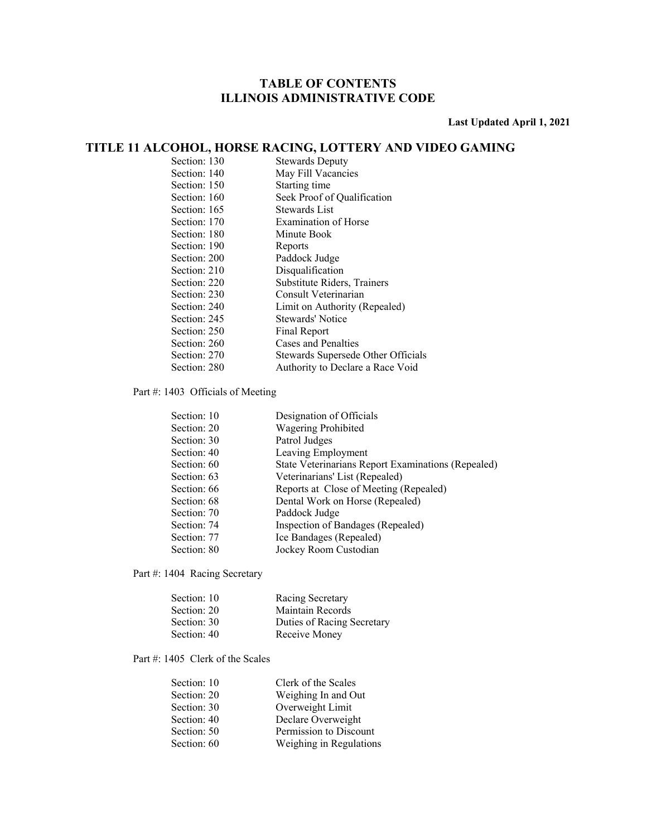**Last Updated April 1, 2021** 

### **TITLE 11 ALCOHOL, HORSE RACING, LOTTERY AND VIDEO GAMING**

| Section: 130 | <b>Stewards Deputy</b>             |
|--------------|------------------------------------|
| Section: 140 | May Fill Vacancies                 |
| Section: 150 | Starting time                      |
| Section: 160 | Seek Proof of Qualification        |
| Section: 165 | Stewards List                      |
| Section: 170 | <b>Examination of Horse</b>        |
| Section: 180 | Minute Book                        |
| Section: 190 | Reports                            |
| Section: 200 | Paddock Judge                      |
| Section: 210 | Disqualification                   |
| Section: 220 | Substitute Riders, Trainers        |
| Section: 230 | Consult Veterinarian               |
| Section: 240 | Limit on Authority (Repealed)      |
| Section: 245 | Stewards' Notice                   |
| Section: 250 | Final Report                       |
| Section: 260 | Cases and Penalties                |
| Section: 270 | Stewards Supersede Other Officials |
| Section: 280 | Authority to Declare a Race Void   |

Part #: 1403 Officials of Meeting

| Designation of Officials                           |
|----------------------------------------------------|
| <b>Wagering Prohibited</b>                         |
| Patrol Judges                                      |
| Leaving Employment                                 |
| State Veterinarians Report Examinations (Repealed) |
| Veterinarians' List (Repealed)                     |
| Reports at Close of Meeting (Repealed)             |
| Dental Work on Horse (Repealed)                    |
| Paddock Judge                                      |
| Inspection of Bandages (Repealed)                  |
| Ice Bandages (Repealed)                            |
| Jockey Room Custodian                              |
|                                                    |

Part #: 1404 Racing Secretary

| Section: 10 | Racing Secretary           |
|-------------|----------------------------|
| Section: 20 | Maintain Records           |
| Section: 30 | Duties of Racing Secretary |
| Section: 40 | Receive Money              |

Part #: 1405 Clerk of the Scales

| Section: 10 | Clerk of the Scales     |
|-------------|-------------------------|
| Section: 20 | Weighing In and Out     |
| Section: 30 | Overweight Limit        |
| Section: 40 | Declare Overweight      |
| Section: 50 | Permission to Discount  |
| Section: 60 | Weighing in Regulations |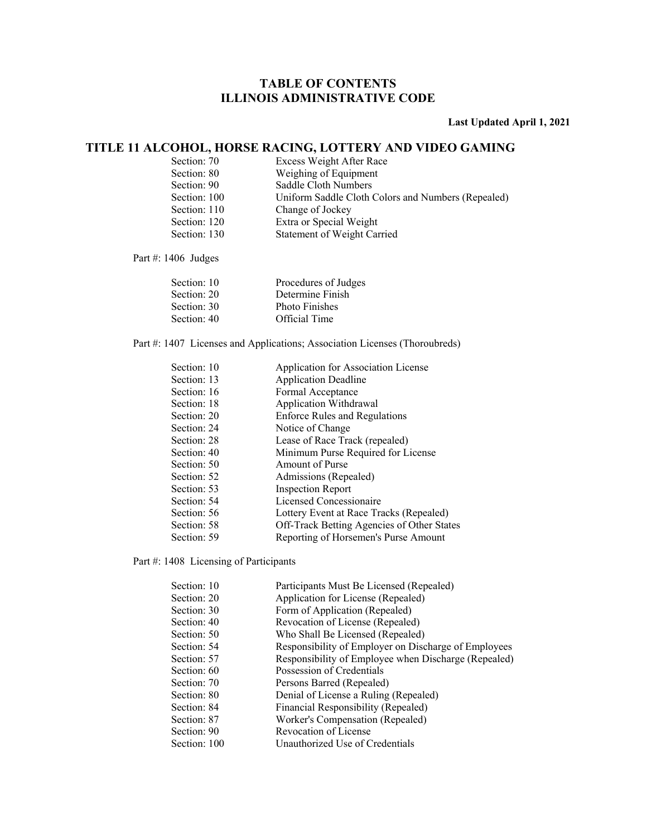### **Last Updated April 1, 2021**

### **TITLE 11 ALCOHOL, HORSE RACING, LOTTERY AND VIDEO GAMING**

| Section: 70  | Excess Weight After Race                           |
|--------------|----------------------------------------------------|
| Section: 80  | Weighing of Equipment                              |
| Section: 90  | Saddle Cloth Numbers                               |
| Section: 100 | Uniform Saddle Cloth Colors and Numbers (Repealed) |
| Section: 110 | Change of Jockey                                   |
| Section: 120 | Extra or Special Weight                            |
| Section: 130 | <b>Statement of Weight Carried</b>                 |

Part #: 1406 Judges

| Section: 10 | Procedures of Judges  |
|-------------|-----------------------|
| Section: 20 | Determine Finish      |
| Section: 30 | <b>Photo Finishes</b> |
| Section: 40 | Official Time         |
|             |                       |

Part #: 1407 Licenses and Applications; Association Licenses (Thoroubreds)

| Application for Association License        |
|--------------------------------------------|
| <b>Application Deadline</b>                |
| Formal Acceptance                          |
| Application Withdrawal                     |
| <b>Enforce Rules and Regulations</b>       |
| Notice of Change                           |
| Lease of Race Track (repealed)             |
| Minimum Purse Required for License         |
| Amount of Purse                            |
| Admissions (Repealed)                      |
| <b>Inspection Report</b>                   |
| Licensed Concessionaire                    |
| Lottery Event at Race Tracks (Repealed)    |
| Off-Track Betting Agencies of Other States |
| Reporting of Horsemen's Purse Amount       |
|                                            |

Part #: 1408 Licensing of Participants

| Section: 10  | Participants Must Be Licensed (Repealed)             |
|--------------|------------------------------------------------------|
| Section: 20  | Application for License (Repealed)                   |
| Section: 30  | Form of Application (Repealed)                       |
| Section: 40  | Revocation of License (Repealed)                     |
| Section: 50  | Who Shall Be Licensed (Repealed)                     |
| Section: 54  | Responsibility of Employer on Discharge of Employees |
| Section: 57  | Responsibility of Employee when Discharge (Repealed) |
| Section: 60  | Possession of Credentials                            |
| Section: 70  | Persons Barred (Repealed)                            |
| Section: 80  | Denial of License a Ruling (Repealed)                |
| Section: 84  | Financial Responsibility (Repealed)                  |
| Section: 87  | Worker's Compensation (Repealed)                     |
| Section: 90  | Revocation of License                                |
| Section: 100 | Unauthorized Use of Credentials                      |
|              |                                                      |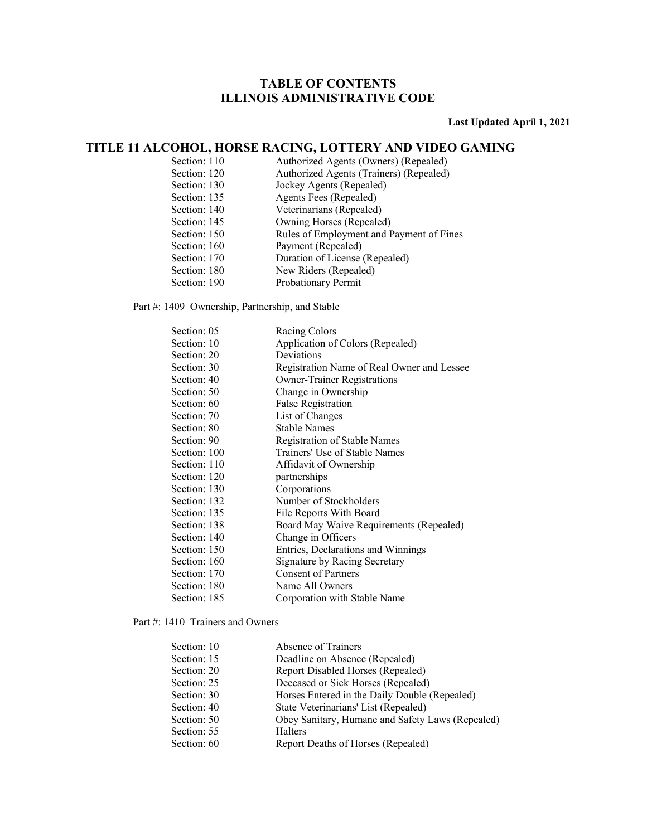**Last Updated April 1, 2021** 

### **TITLE 11 ALCOHOL, HORSE RACING, LOTTERY AND VIDEO GAMING**

| Section: 110 | Authorized Agents (Owners) (Repealed)    |
|--------------|------------------------------------------|
| Section: 120 | Authorized Agents (Trainers) (Repealed)  |
| Section: 130 | Jockey Agents (Repealed)                 |
| Section: 135 | Agents Fees (Repealed)                   |
| Section: 140 | Veterinarians (Repealed)                 |
| Section: 145 | Owning Horses (Repealed)                 |
| Section: 150 | Rules of Employment and Payment of Fines |
| Section: 160 | Payment (Repealed)                       |
| Section: 170 | Duration of License (Repealed)           |
| Section: 180 | New Riders (Repealed)                    |
| Section: 190 | Probationary Permit                      |

#### Part #: 1409 Ownership, Partnership, and Stable

| Section: 05  | Racing Colors                              |
|--------------|--------------------------------------------|
| Section: 10  | Application of Colors (Repealed)           |
| Section: 20  | Deviations                                 |
| Section: 30  | Registration Name of Real Owner and Lessee |
| Section: 40  | <b>Owner-Trainer Registrations</b>         |
| Section: 50  | Change in Ownership                        |
| Section: 60  | False Registration                         |
| Section: 70  | List of Changes                            |
| Section: 80  | <b>Stable Names</b>                        |
| Section: 90  | Registration of Stable Names               |
| Section: 100 | Trainers' Use of Stable Names              |
| Section: 110 | Affidavit of Ownership                     |
| Section: 120 | partnerships                               |
| Section: 130 | Corporations                               |
| Section: 132 | Number of Stockholders                     |
| Section: 135 | File Reports With Board                    |
| Section: 138 | Board May Waive Requirements (Repealed)    |
| Section: 140 | Change in Officers                         |
| Section: 150 | Entries, Declarations and Winnings         |
| Section: 160 | Signature by Racing Secretary              |
| Section: 170 | <b>Consent of Partners</b>                 |
| Section: 180 | Name All Owners                            |
| Section: 185 | Corporation with Stable Name               |
|              |                                            |

#### Part #: 1410 Trainers and Owners

| Section: 10 | Absence of Trainers                              |
|-------------|--------------------------------------------------|
| Section: 15 | Deadline on Absence (Repealed)                   |
| Section: 20 | Report Disabled Horses (Repealed)                |
| Section: 25 | Deceased or Sick Horses (Repealed)               |
| Section: 30 | Horses Entered in the Daily Double (Repealed)    |
| Section: 40 | State Veterinarians' List (Repealed)             |
| Section: 50 | Obey Sanitary, Humane and Safety Laws (Repealed) |
| Section: 55 | Halters                                          |
| Section: 60 | Report Deaths of Horses (Repealed)               |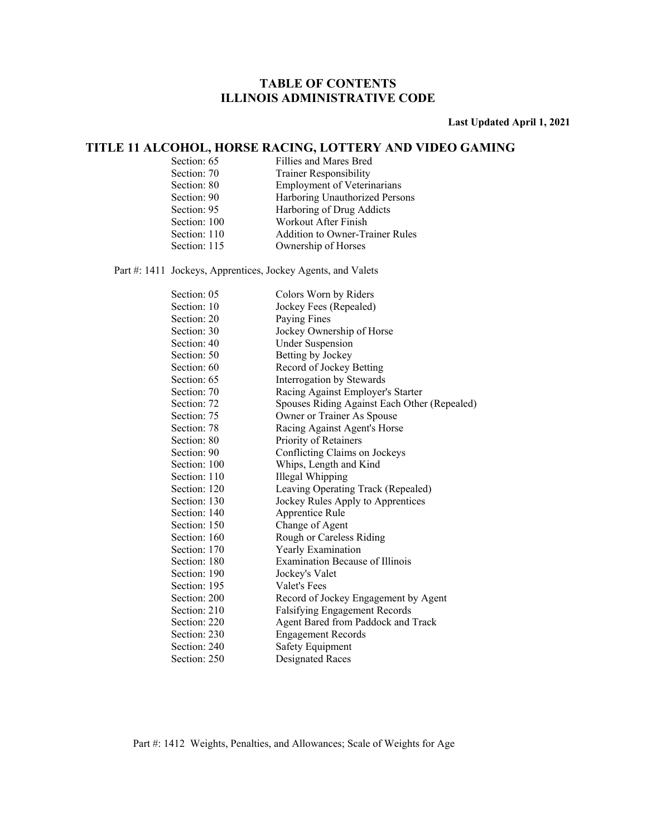**Last Updated April 1, 2021** 

### **TITLE 11 ALCOHOL, HORSE RACING, LOTTERY AND VIDEO GAMING**

| Section: 65  | Fillies and Mares Bred                 |
|--------------|----------------------------------------|
| Section: 70  | <b>Trainer Responsibility</b>          |
| Section: 80  | <b>Employment of Veterinarians</b>     |
| Section: 90  | Harboring Unauthorized Persons         |
| Section: 95  | Harboring of Drug Addicts              |
| Section: 100 | Workout After Finish                   |
| Section: 110 | <b>Addition to Owner-Trainer Rules</b> |
| Section: 115 | Ownership of Horses                    |

Part #: 1411 Jockeys, Apprentices, Jockey Agents, and Valets

| Section: 05  | Colors Worn by Riders                        |
|--------------|----------------------------------------------|
| Section: 10  | Jockey Fees (Repealed)                       |
| Section: 20  | Paying Fines                                 |
| Section: 30  | Jockey Ownership of Horse                    |
| Section: 40  | <b>Under Suspension</b>                      |
| Section: 50  | Betting by Jockey                            |
| Section: 60  | Record of Jockey Betting                     |
| Section: 65  | Interrogation by Stewards                    |
| Section: 70  | Racing Against Employer's Starter            |
| Section: 72  | Spouses Riding Against Each Other (Repealed) |
| Section: 75  | Owner or Trainer As Spouse                   |
| Section: 78  | Racing Against Agent's Horse                 |
| Section: 80  | Priority of Retainers                        |
| Section: 90  | Conflicting Claims on Jockeys                |
| Section: 100 | Whips, Length and Kind                       |
| Section: 110 | <b>Illegal Whipping</b>                      |
| Section: 120 | Leaving Operating Track (Repealed)           |
| Section: 130 | Jockey Rules Apply to Apprentices            |
| Section: 140 | Apprentice Rule                              |
| Section: 150 | Change of Agent                              |
| Section: 160 | Rough or Careless Riding                     |
| Section: 170 | Yearly Examination                           |
| Section: 180 | <b>Examination Because of Illinois</b>       |
| Section: 190 | Jockey's Valet                               |
| Section: 195 | Valet's Fees                                 |
| Section: 200 | Record of Jockey Engagement by Agent         |
| Section: 210 | Falsifying Engagement Records                |
| Section: 220 | Agent Bared from Paddock and Track           |
| Section: 230 | <b>Engagement Records</b>                    |
| Section: 240 | Safety Equipment                             |
| Section: 250 | <b>Designated Races</b>                      |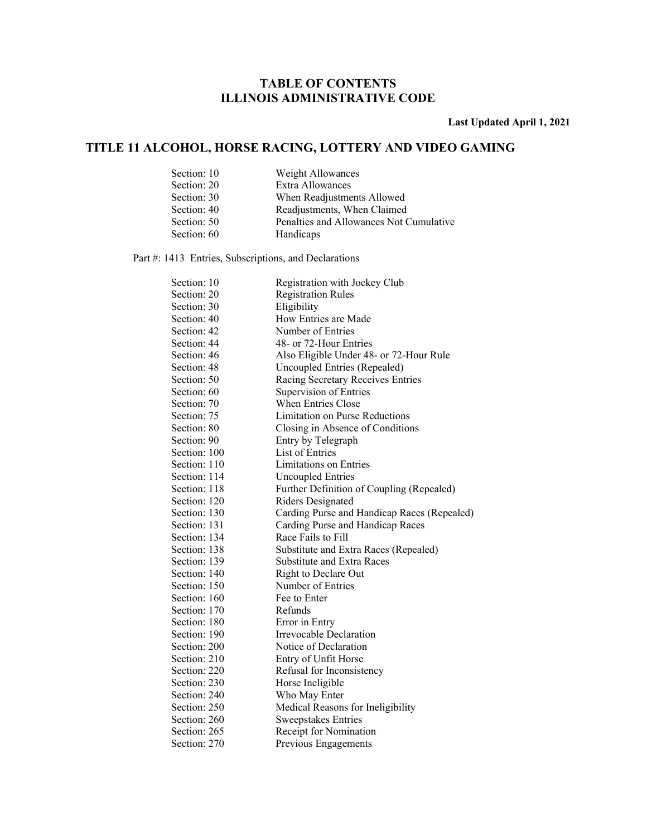**Last Updated April 1, 2021** 

### **TITLE 11 ALCOHOL, HORSE RACING, LOTTERY AND VIDEO GAMING**

| Section: 10 | Weight Allowances                       |
|-------------|-----------------------------------------|
| Section: 20 | Extra Allowances                        |
| Section: 30 | When Readjustments Allowed              |
| Section: 40 | Readjustments, When Claimed             |
| Section: 50 | Penalties and Allowances Not Cumulative |
| Section: 60 | Handicaps                               |

Part #: 1413 Entries, Subscriptions, and Declarations

| Section: 10  | Registration with Jockey Club               |
|--------------|---------------------------------------------|
| Section: 20  | <b>Registration Rules</b>                   |
| Section: 30  | Eligibility                                 |
| Section: 40  | How Entries are Made                        |
| Section: 42  | Number of Entries                           |
| Section: 44  | 48- or 72-Hour Entries                      |
| Section: 46  | Also Eligible Under 48- or 72-Hour Rule     |
| Section: 48  | Uncoupled Entries (Repealed)                |
| Section: 50  | Racing Secretary Receives Entries           |
| Section: 60  | Supervision of Entries                      |
| Section: 70  | <b>When Entries Close</b>                   |
| Section: 75  | Limitation on Purse Reductions              |
| Section: 80  | Closing in Absence of Conditions            |
| Section: 90  | Entry by Telegraph                          |
| Section: 100 | List of Entries                             |
| Section: 110 | Limitations on Entries                      |
| Section: 114 | <b>Uncoupled Entries</b>                    |
| Section: 118 | Further Definition of Coupling (Repealed)   |
| Section: 120 | Riders Designated                           |
| Section: 130 | Carding Purse and Handicap Races (Repealed) |
| Section: 131 | Carding Purse and Handicap Races            |
| Section: 134 | Race Fails to Fill                          |
| Section: 138 | Substitute and Extra Races (Repealed)       |
| Section: 139 | <b>Substitute and Extra Races</b>           |
| Section: 140 | Right to Declare Out                        |
| Section: 150 | Number of Entries                           |
| Section: 160 | Fee to Enter                                |
| Section: 170 | Refunds                                     |
| Section: 180 | Error in Entry                              |
| Section: 190 | Irrevocable Declaration                     |
| Section: 200 | Notice of Declaration                       |
| Section: 210 | Entry of Unfit Horse                        |
| Section: 220 | Refusal for Inconsistency                   |
| Section: 230 | Horse Ineligible                            |
| Section: 240 | Who May Enter                               |
| Section: 250 | Medical Reasons for Ineligibility           |
| Section: 260 | <b>Sweepstakes Entries</b>                  |
| Section: 265 | Receipt for Nomination                      |
| Section: 270 | Previous Engagements                        |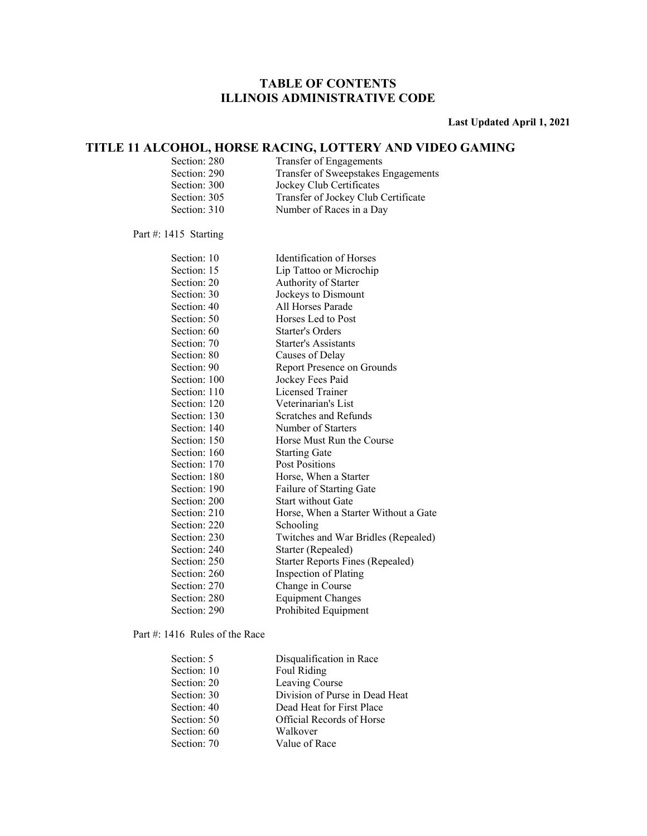**Last Updated April 1, 2021** 

### **TITLE 11 ALCOHOL, HORSE RACING, LOTTERY AND VIDEO GAMING**

| Section: 280 | Transfer of Engagements             |
|--------------|-------------------------------------|
| Section: 290 | Transfer of Sweepstakes Engagements |
| Section: 300 | Jockey Club Certificates            |
| Section: 305 | Transfer of Jockey Club Certificate |
| Section: 310 | Number of Races in a Day            |

#### Part #: 1415 Starting

| Section: 10  | Identification of Horses             |
|--------------|--------------------------------------|
| Section: 15  | Lip Tattoo or Microchip              |
| Section: 20  | Authority of Starter                 |
| Section: 30  | Jockeys to Dismount                  |
| Section: 40  | All Horses Parade                    |
| Section: 50  | Horses Led to Post                   |
| Section: 60  | Starter's Orders                     |
| Section: 70  | Starter's Assistants                 |
| Section: 80  | Causes of Delay                      |
| Section: 90  | Report Presence on Grounds           |
| Section: 100 | Jockey Fees Paid                     |
| Section: 110 | Licensed Trainer                     |
| Section: 120 | Veterinarian's List                  |
| Section: 130 | Scratches and Refunds                |
| Section: 140 | Number of Starters                   |
| Section: 150 | Horse Must Run the Course            |
| Section: 160 | <b>Starting Gate</b>                 |
| Section: 170 | Post Positions                       |
| Section: 180 | Horse, When a Starter                |
| Section: 190 | <b>Failure of Starting Gate</b>      |
| Section: 200 | <b>Start without Gate</b>            |
| Section: 210 | Horse, When a Starter Without a Gate |
| Section: 220 | Schooling                            |
| Section: 230 | Twitches and War Bridles (Repealed)  |
| Section: 240 | Starter (Repealed)                   |
| Section: 250 | Starter Reports Fines (Repealed)     |
| Section: 260 | Inspection of Plating                |
| Section: 270 | Change in Course                     |
| Section: 280 | <b>Equipment Changes</b>             |
| Section: 290 | Prohibited Equipment                 |

### Part #: 1416 Rules of the Race

| Section: 5  | Disqualification in Race       |
|-------------|--------------------------------|
| Section: 10 | Foul Riding                    |
| Section: 20 | Leaving Course                 |
| Section: 30 | Division of Purse in Dead Heat |
| Section: 40 | Dead Heat for First Place      |
| Section: 50 | Official Records of Horse      |
| Section: 60 | Walkover                       |
| Section: 70 | Value of Race                  |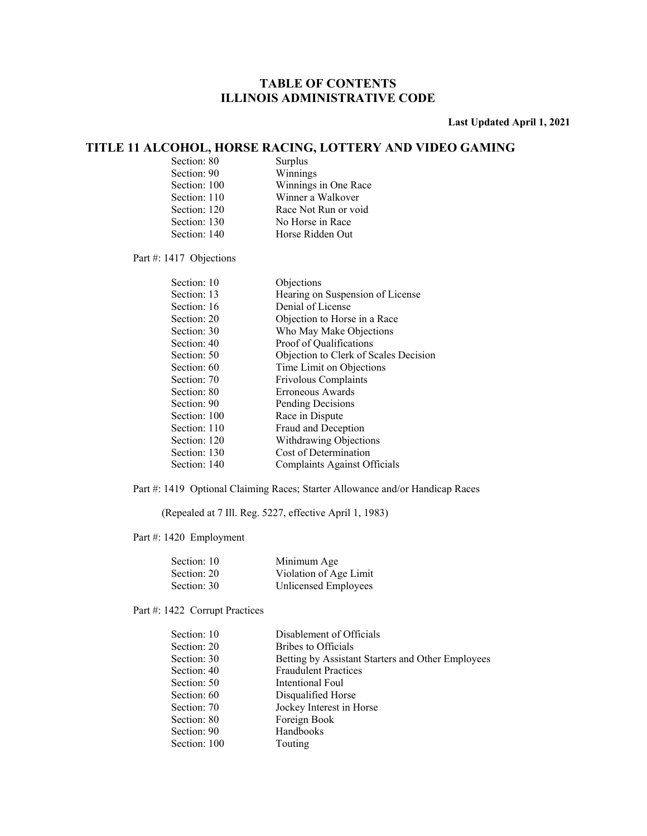#### **Last Updated April 1, 2021**

### **TITLE 11 ALCOHOL, HORSE RACING, LOTTERY AND VIDEO GAMING**

| Section: 80  | Surplus              |
|--------------|----------------------|
| Section: 90  | Winnings             |
| Section: 100 | Winnings in One Race |
| Section: 110 | Winner a Walkover    |
| Section: 120 | Race Not Run or void |
| Section: 130 | No Horse in Race     |
| Section: 140 | Horse Ridden Out     |
|              |                      |

Part #: 1417 Objections

| Section: 10  | Objections                            |
|--------------|---------------------------------------|
| Section: 13  | Hearing on Suspension of License      |
| Section: 16  | Denial of License                     |
| Section: 20  | Objection to Horse in a Race          |
| Section: 30  | Who May Make Objections               |
| Section: 40  | Proof of Qualifications               |
| Section: 50  | Objection to Clerk of Scales Decision |
| Section: 60  | Time Limit on Objections              |
| Section: 70  | <b>Frivolous Complaints</b>           |
| Section: 80  | Erroneous Awards                      |
| Section: 90  | Pending Decisions                     |
| Section: 100 | Race in Dispute                       |
| Section: 110 | Fraud and Deception                   |
| Section: 120 | Withdrawing Objections                |
| Section: 130 | Cost of Determination                 |
| Section: 140 | Complaints Against Officials          |

Part #: 1419 Optional Claiming Races; Starter Allowance and/or Handicap Races

(Repealed at 7 Ill. Reg. 5227, effective April 1, 1983)

Part #: 1420 Employment

| Section: 10 | Minimum Age            |
|-------------|------------------------|
| Section: 20 | Violation of Age Limit |
| Section: 30 | Unlicensed Employees   |

### Part #: 1422 Corrupt Practices

| Section: 10  | Disablement of Officials                          |
|--------------|---------------------------------------------------|
| Section: 20  | Bribes to Officials                               |
| Section: 30  | Betting by Assistant Starters and Other Employees |
| Section: 40  | <b>Fraudulent Practices</b>                       |
| Section: 50  | Intentional Foul                                  |
| Section: 60  | Disqualified Horse                                |
| Section: 70  | Jockey Interest in Horse                          |
| Section: 80  | Foreign Book                                      |
| Section: 90  | Handbooks                                         |
| Section: 100 | Touting                                           |
|              |                                                   |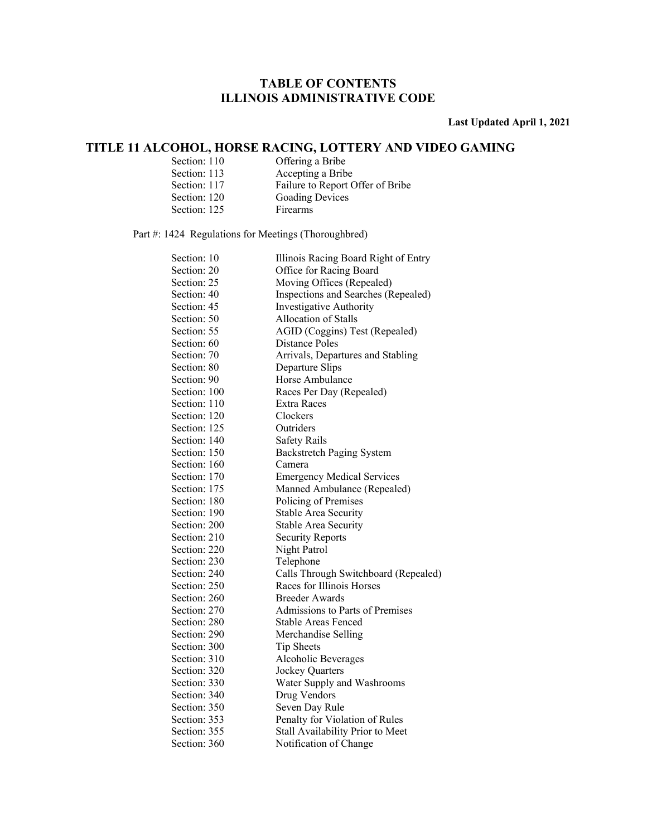**Last Updated April 1, 2021** 

### **TITLE 11 ALCOHOL, HORSE RACING, LOTTERY AND VIDEO GAMING**

| Section: 110 | Offering a Bribe                 |
|--------------|----------------------------------|
| Section: 113 | Accepting a Bribe                |
| Section: 117 | Failure to Report Offer of Bribe |
| Section: 120 | <b>Goading Devices</b>           |
| Section: 125 | <b>Firearms</b>                  |

Part #: 1424 Regulations for Meetings (Thoroughbred)

| Section: 10  | Illinois Racing Board Right of Entry |
|--------------|--------------------------------------|
| Section: 20  | Office for Racing Board              |
| Section: 25  | Moving Offices (Repealed)            |
| Section: 40  | Inspections and Searches (Repealed)  |
| Section: 45  | <b>Investigative Authority</b>       |
| Section: 50  | Allocation of Stalls                 |
| Section: 55  | AGID (Coggins) Test (Repealed)       |
| Section: 60  | Distance Poles                       |
| Section: 70  | Arrivals, Departures and Stabling    |
| Section: 80  | Departure Slips                      |
| Section: 90  | Horse Ambulance                      |
| Section: 100 | Races Per Day (Repealed)             |
| Section: 110 | Extra Races                          |
| Section: 120 | Clockers                             |
| Section: 125 | Outriders                            |
| Section: 140 | Safety Rails                         |
| Section: 150 | <b>Backstretch Paging System</b>     |
| Section: 160 | Camera                               |
| Section: 170 | <b>Emergency Medical Services</b>    |
| Section: 175 | Manned Ambulance (Repealed)          |
| Section: 180 | Policing of Premises                 |
| Section: 190 | Stable Area Security                 |
| Section: 200 | Stable Area Security                 |
| Section: 210 | <b>Security Reports</b>              |
| Section: 220 | Night Patrol                         |
| Section: 230 | Telephone                            |
| Section: 240 | Calls Through Switchboard (Repealed) |
| Section: 250 | Races for Illinois Horses            |
| Section: 260 | <b>Breeder Awards</b>                |
| Section: 270 | Admissions to Parts of Premises      |
| Section: 280 | Stable Areas Fenced                  |
| Section: 290 | Merchandise Selling                  |
| Section: 300 | Tip Sheets                           |
| Section: 310 | Alcoholic Beverages                  |
| Section: 320 | Jockey Quarters                      |
| Section: 330 | Water Supply and Washrooms           |
| Section: 340 | Drug Vendors                         |
| Section: 350 | Seven Day Rule                       |
| Section: 353 | Penalty for Violation of Rules       |
| Section: 355 | Stall Availability Prior to Meet     |
| Section: 360 | Notification of Change               |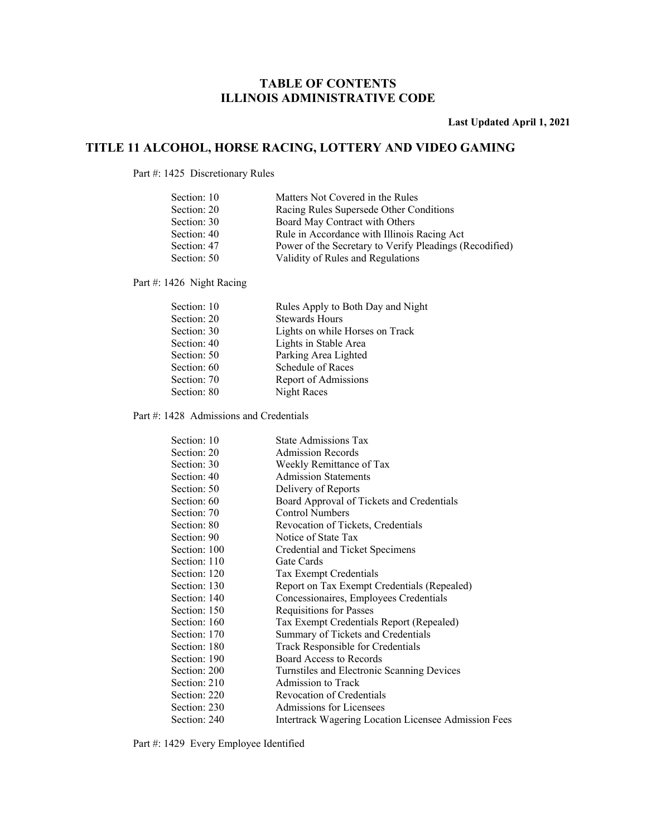**Last Updated April 1, 2021** 

### **TITLE 11 ALCOHOL, HORSE RACING, LOTTERY AND VIDEO GAMING**

Part #: 1425 Discretionary Rules

| Matters Not Covered in the Rules                        |
|---------------------------------------------------------|
| Racing Rules Supersede Other Conditions                 |
| Board May Contract with Others                          |
| Rule in Accordance with Illinois Racing Act             |
| Power of the Secretary to Verify Pleadings (Recodified) |
| Validity of Rules and Regulations                       |
|                                                         |

Part #: 1426 Night Racing

| Section: 10 | Rules Apply to Both Day and Night |
|-------------|-----------------------------------|
| Section: 20 | <b>Stewards Hours</b>             |
| Section: 30 | Lights on while Horses on Track   |
| Section: 40 | Lights in Stable Area             |
| Section: 50 | Parking Area Lighted              |
| Section: 60 | Schedule of Races                 |
| Section: 70 | Report of Admissions              |
| Section: 80 | Night Races                       |

Part #: 1428 Admissions and Credentials

| Section: 10  | <b>State Admissions Tax</b>                                 |
|--------------|-------------------------------------------------------------|
| Section: 20  | <b>Admission Records</b>                                    |
| Section: 30  | Weekly Remittance of Tax                                    |
| Section: 40  | <b>Admission Statements</b>                                 |
| Section: 50  | Delivery of Reports                                         |
| Section: 60  | Board Approval of Tickets and Credentials                   |
| Section: 70  | <b>Control Numbers</b>                                      |
| Section: 80  | Revocation of Tickets, Credentials                          |
| Section: 90  | Notice of State Tax                                         |
| Section: 100 | Credential and Ticket Specimens                             |
| Section: 110 | Gate Cards                                                  |
| Section: 120 | Tax Exempt Credentials                                      |
| Section: 130 | Report on Tax Exempt Credentials (Repealed)                 |
| Section: 140 | Concessionaires, Employees Credentials                      |
| Section: 150 | <b>Requisitions for Passes</b>                              |
| Section: 160 | Tax Exempt Credentials Report (Repealed)                    |
| Section: 170 | Summary of Tickets and Credentials                          |
| Section: 180 | Track Responsible for Credentials                           |
| Section: 190 | <b>Board Access to Records</b>                              |
| Section: 200 | Turnstiles and Electronic Scanning Devices                  |
| Section: 210 | <b>Admission to Track</b>                                   |
| Section: 220 | Revocation of Credentials                                   |
| Section: 230 | Admissions for Licensees                                    |
| Section: 240 | <b>Intertrack Wagering Location Licensee Admission Fees</b> |

Part #: 1429 Every Employee Identified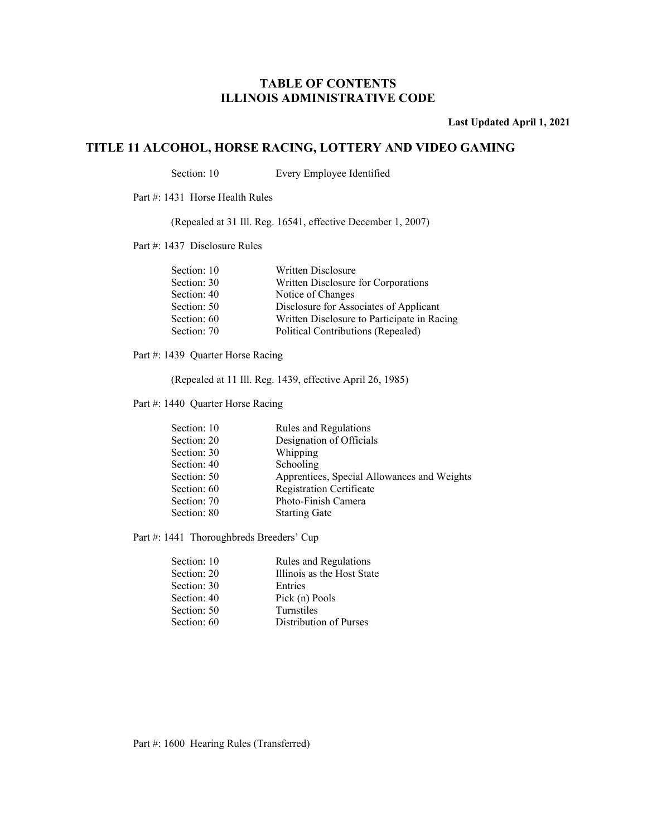**Last Updated April 1, 2021** 

### **TITLE 11 ALCOHOL, HORSE RACING, LOTTERY AND VIDEO GAMING**

Section: 10 Every Employee Identified

Part #: 1431 Horse Health Rules

(Repealed at 31 Ill. Reg. 16541, effective December 1, 2007)

Part #: 1437 Disclosure Rules

| Written Disclosure                          |
|---------------------------------------------|
| Written Disclosure for Corporations         |
| Notice of Changes                           |
| Disclosure for Associates of Applicant      |
| Written Disclosure to Participate in Racing |
| Political Contributions (Repealed)          |
|                                             |

Part #: 1439 Quarter Horse Racing

(Repealed at 11 Ill. Reg. 1439, effective April 26, 1985)

Part #: 1440 Quarter Horse Racing

| Section: 10 | Rules and Regulations                       |
|-------------|---------------------------------------------|
| Section: 20 | Designation of Officials                    |
| Section: 30 | Whipping                                    |
| Section: 40 | Schooling                                   |
| Section: 50 | Apprentices, Special Allowances and Weights |
| Section: 60 | <b>Registration Certificate</b>             |
| Section: 70 | Photo-Finish Camera                         |
| Section: 80 | <b>Starting Gate</b>                        |
|             |                                             |

Part #: 1441 Thoroughbreds Breeders' Cup

| Section: 10 | Rules and Regulations      |
|-------------|----------------------------|
| Section: 20 | Illinois as the Host State |
| Section: 30 | Entries                    |
| Section: 40 | Pick (n) Pools             |
| Section: 50 | Turnstiles                 |
| Section: 60 | Distribution of Purses     |
|             |                            |

Part #: 1600 Hearing Rules (Transferred)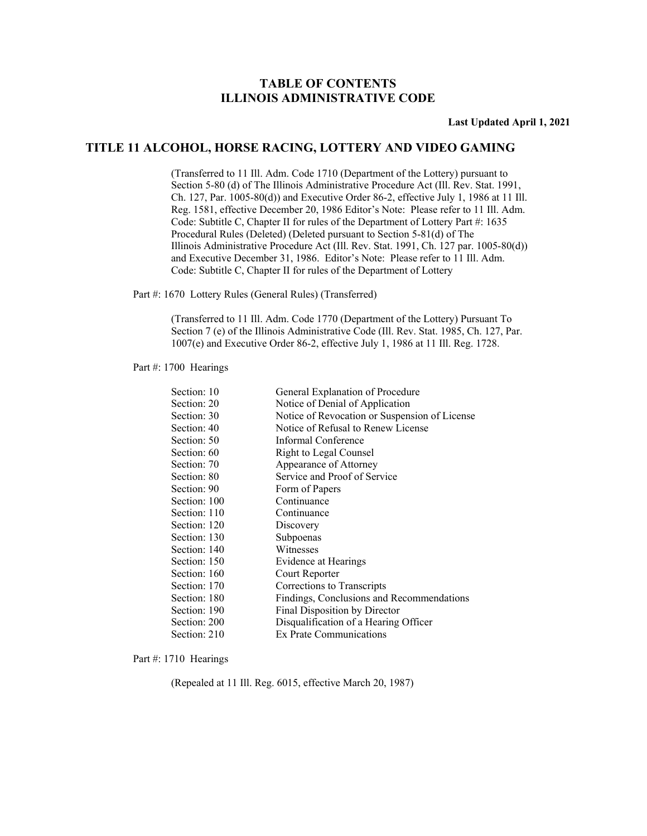**Last Updated April 1, 2021** 

#### **TITLE 11 ALCOHOL, HORSE RACING, LOTTERY AND VIDEO GAMING**

 (Transferred to 11 Ill. Adm. Code 1710 (Department of the Lottery) pursuant to Section 5-80 (d) of The Illinois Administrative Procedure Act (Ill. Rev. Stat. 1991, Ch. 127, Par. 1005-80(d)) and Executive Order 86-2, effective July 1, 1986 at 11 Ill. Reg. 1581, effective December 20, 1986 Editor's Note: Please refer to 11 Ill. Adm. Code: Subtitle C, Chapter II for rules of the Department of Lottery Part #: 1635 Procedural Rules (Deleted) (Deleted pursuant to Section 5-81(d) of The Illinois Administrative Procedure Act (Ill. Rev. Stat. 1991, Ch. 127 par. 1005-80(d)) and Executive December 31, 1986. Editor's Note: Please refer to 11 Ill. Adm. Code: Subtitle C, Chapter II for rules of the Department of Lottery

Part #: 1670 Lottery Rules (General Rules) (Transferred)

 (Transferred to 11 Ill. Adm. Code 1770 (Department of the Lottery) Pursuant To Section 7 (e) of the Illinois Administrative Code (Ill. Rev. Stat. 1985, Ch. 127, Par. 1007(e) and Executive Order 86-2, effective July 1, 1986 at 11 Ill. Reg. 1728.

#### Part #: 1700 Hearings

| Section: 10  | General Explanation of Procedure              |
|--------------|-----------------------------------------------|
| Section: 20  | Notice of Denial of Application               |
| Section: 30  | Notice of Revocation or Suspension of License |
| Section: 40  | Notice of Refusal to Renew License            |
| Section: 50  | Informal Conference                           |
| Section: 60  | Right to Legal Counsel                        |
| Section: 70  | Appearance of Attorney                        |
| Section: 80  | Service and Proof of Service                  |
| Section: 90  | Form of Papers                                |
| Section: 100 | Continuance                                   |
| Section: 110 | Continuance                                   |
| Section: 120 | Discovery                                     |
| Section: 130 | Subpoenas                                     |
| Section: 140 | Witnesses                                     |
| Section: 150 | Evidence at Hearings                          |
| Section: 160 | Court Reporter                                |
| Section: 170 | Corrections to Transcripts                    |
| Section: 180 | Findings, Conclusions and Recommendations     |
| Section: 190 | Final Disposition by Director                 |
| Section: 200 | Disqualification of a Hearing Officer         |
| Section: 210 | Ex Prate Communications                       |

#### Part #: 1710 Hearings

(Repealed at 11 Ill. Reg. 6015, effective March 20, 1987)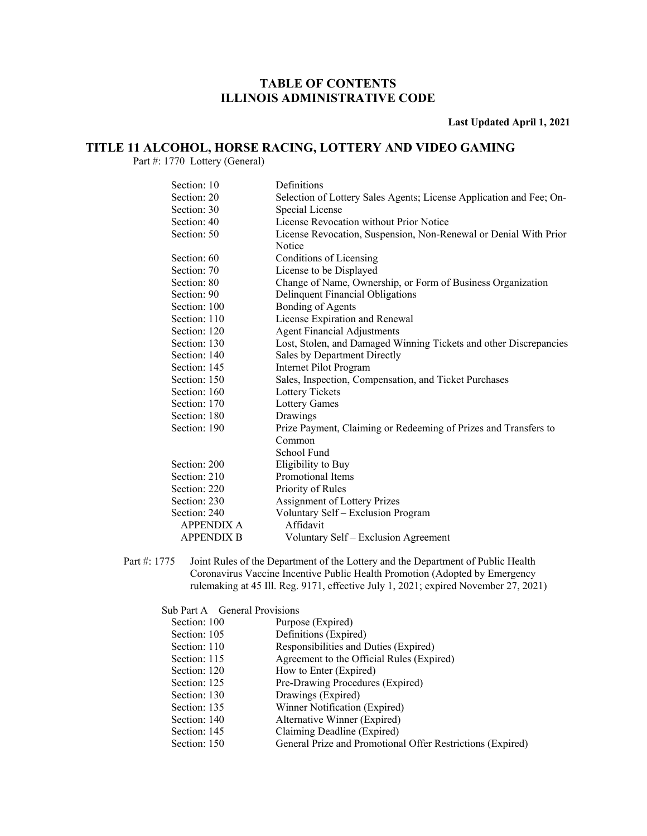**Last Updated April 1, 2021** 

### **TITLE 11 ALCOHOL, HORSE RACING, LOTTERY AND VIDEO GAMING**

Part #: 1770 Lottery (General)

| Section: 10       | Definitions                                                         |
|-------------------|---------------------------------------------------------------------|
| Section: 20       | Selection of Lottery Sales Agents; License Application and Fee; On- |
| Section: 30       | Special License                                                     |
| Section: 40       | License Revocation without Prior Notice                             |
| Section: 50       | License Revocation, Suspension, Non-Renewal or Denial With Prior    |
|                   | Notice                                                              |
| Section: 60       | Conditions of Licensing                                             |
| Section: 70       | License to be Displayed                                             |
| Section: 80       | Change of Name, Ownership, or Form of Business Organization         |
| Section: 90       | Delinquent Financial Obligations                                    |
| Section: 100      | Bonding of Agents                                                   |
| Section: 110      | License Expiration and Renewal                                      |
| Section: 120      | <b>Agent Financial Adjustments</b>                                  |
| Section: 130      | Lost, Stolen, and Damaged Winning Tickets and other Discrepancies   |
| Section: 140      | Sales by Department Directly                                        |
| Section: 145      | Internet Pilot Program                                              |
| Section: 150      | Sales, Inspection, Compensation, and Ticket Purchases               |
| Section: 160      | Lottery Tickets                                                     |
| Section: 170      | Lottery Games                                                       |
| Section: 180      | Drawings                                                            |
| Section: 190      | Prize Payment, Claiming or Redeeming of Prizes and Transfers to     |
|                   | Common                                                              |
|                   | School Fund                                                         |
| Section: 200      | Eligibility to Buy                                                  |
| Section: 210      | Promotional Items                                                   |
| Section: 220      | Priority of Rules                                                   |
| Section: 230      | Assignment of Lottery Prizes                                        |
| Section: 240      | Voluntary Self - Exclusion Program                                  |
| <b>APPENDIX A</b> | Affidavit                                                           |
| <b>APPENDIX B</b> | Voluntary Self - Exclusion Agreement                                |

Part #: 1775 Joint Rules of the Department of the Lottery and the Department of Public Health Coronavirus Vaccine Incentive Public Health Promotion (Adopted by Emergency rulemaking at 45 Ill. Reg. 9171, effective July 1, 2021; expired November 27, 2021)

Sub Part A General Provisions

| Section: 100 | Purpose (Expired)                                          |
|--------------|------------------------------------------------------------|
| Section: 105 | Definitions (Expired)                                      |
| Section: 110 | Responsibilities and Duties (Expired)                      |
| Section: 115 | Agreement to the Official Rules (Expired)                  |
| Section: 120 | How to Enter (Expired)                                     |
| Section: 125 | Pre-Drawing Procedures (Expired)                           |
| Section: 130 | Drawings (Expired)                                         |
| Section: 135 | Winner Notification (Expired)                              |
| Section: 140 | Alternative Winner (Expired)                               |
| Section: 145 | Claiming Deadline (Expired)                                |
| Section: 150 | General Prize and Promotional Offer Restrictions (Expired) |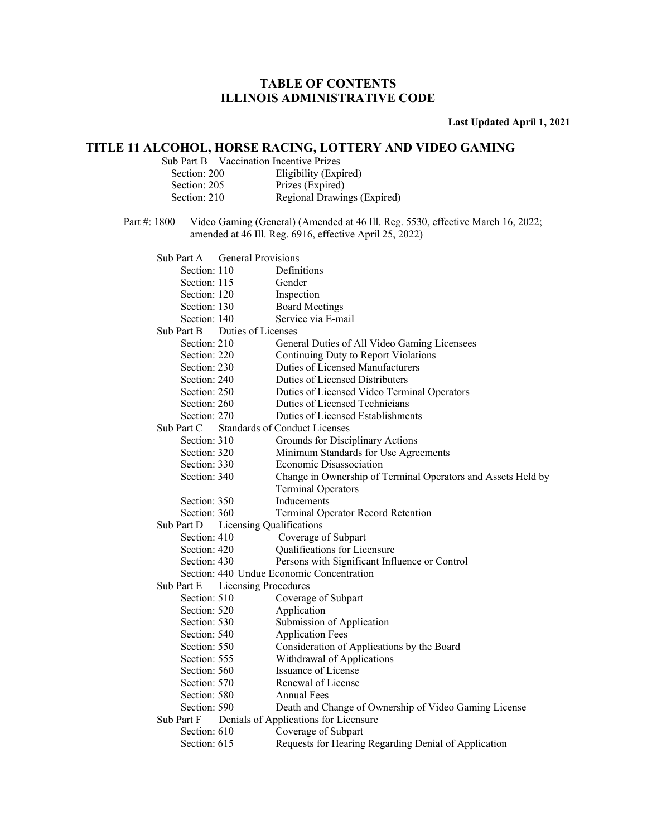**Last Updated April 1, 2021** 

### **TITLE 11 ALCOHOL, HORSE RACING, LOTTERY AND VIDEO GAMING**

Sub Part B Vaccination Incentive Prizes

| Section: 200 | Eligibility (Expired)       |
|--------------|-----------------------------|
| Section: 205 | Prizes (Expired)            |
| Section: 210 | Regional Drawings (Expired) |

Part #: 1800 Video Gaming (General) (Amended at 46 Ill. Reg. 5530, effective March 16, 2022; amended at 46 Ill. Reg. 6916, effective April 25, 2022)

 Sub Part A General Provisions Section: 110 Definitions Section: 115 Gender Section: 120 Inspection Section: 130 Board Meetings Section: 140 Service via E-mail Sub Part B Duties of Licenses Section: 210 General Duties of All Video Gaming Licensees Section: 220 Continuing Duty to Report Violations Section: 230 Duties of Licensed Manufacturers Section: 240 Duties of Licensed Distributers Section: 250 Duties of Licensed Video Terminal Operators Section: 260 Duties of Licensed Technicians Section: 270 Duties of Licensed Establishments Sub Part C Standards of Conduct Licenses Section: 310 Grounds for Disciplinary Actions Section: 320 Minimum Standards for Use Agreements Section: 330 Economic Disassociation Section: 340 Change in Ownership of Terminal Operators and Assets Held by Terminal Operators Section: 350 Inducements Section: 360 Terminal Operator Record Retention Sub Part D Licensing Qualifications Section: 410 Coverage of Subpart Section: 420 Qualifications for Licensure Section: 430 Persons with Significant Influence or Control Section: 440 Undue Economic Concentration Sub Part E Licensing Procedures Section: 510 Coverage of Subpart Section: 520 Application Section: 530 Submission of Application Section: 540 Application Fees Section: 550 Consideration of Applications by the Board Section: 555 Withdrawal of Applications Section: 560 **Issuance of License** Section: 570 Renewal of License Section: 580 Annual Fees Section: 590 Death and Change of Ownership of Video Gaming License Sub Part F Denials of Applications for Licensure Section: 610 Coverage of Subpart Section: 615 Requests for Hearing Regarding Denial of Application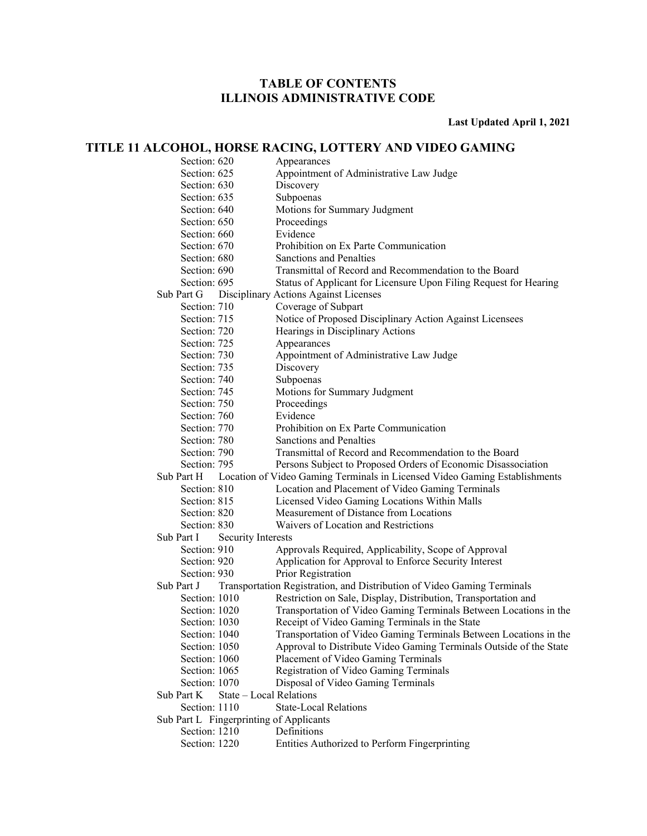**Last Updated April 1, 2021** 

### **TITLE 11 ALCOHOL, HORSE RACING, LOTTERY AND VIDEO GAMING**

| Section: 620                            | Appearances                                                                |
|-----------------------------------------|----------------------------------------------------------------------------|
| Section: 625                            | Appointment of Administrative Law Judge                                    |
| Section: 630                            | Discovery                                                                  |
| Section: 635                            | Subpoenas                                                                  |
| Section: 640                            | Motions for Summary Judgment                                               |
| Section: 650                            | Proceedings                                                                |
| Section: 660                            | Evidence                                                                   |
| Section: 670                            | Prohibition on Ex Parte Communication                                      |
| Section: 680                            | Sanctions and Penalties                                                    |
| Section: 690                            | Transmittal of Record and Recommendation to the Board                      |
| Section: 695                            | Status of Applicant for Licensure Upon Filing Request for Hearing          |
| Sub Part G                              | Disciplinary Actions Against Licenses                                      |
| Section: 710                            | Coverage of Subpart                                                        |
| Section: 715                            | Notice of Proposed Disciplinary Action Against Licensees                   |
| Section: 720                            | Hearings in Disciplinary Actions                                           |
| Section: 725                            | Appearances                                                                |
| Section: 730                            | Appointment of Administrative Law Judge                                    |
| Section: 735                            | Discovery                                                                  |
| Section: 740                            | Subpoenas                                                                  |
| Section: 745                            | Motions for Summary Judgment                                               |
| Section: 750                            | Proceedings                                                                |
| Section: 760                            | Evidence                                                                   |
| Section: 770                            | Prohibition on Ex Parte Communication                                      |
| Section: 780                            | Sanctions and Penalties                                                    |
| Section: 790                            | Transmittal of Record and Recommendation to the Board                      |
| Section: 795                            | Persons Subject to Proposed Orders of Economic Disassociation              |
| Sub Part H                              | Location of Video Gaming Terminals in Licensed Video Gaming Establishments |
| Section: 810                            | Location and Placement of Video Gaming Terminals                           |
| Section: 815                            | Licensed Video Gaming Locations Within Malls                               |
| Section: 820                            | Measurement of Distance from Locations                                     |
| Section: 830                            | Waivers of Location and Restrictions                                       |
| Sub Part I<br><b>Security Interests</b> |                                                                            |
| Section: 910                            | Approvals Required, Applicability, Scope of Approval                       |
| Section: 920                            | Application for Approval to Enforce Security Interest                      |
| Section: 930                            | Prior Registration                                                         |
| Sub Part J                              | Transportation Registration, and Distribution of Video Gaming Terminals    |
| Section: 1010                           | Restriction on Sale, Display, Distribution, Transportation and             |
| Section: 1020                           | Transportation of Video Gaming Terminals Between Locations in the          |
| Section: 1030                           | Receipt of Video Gaming Terminals in the State                             |
| Section: 1040                           | Transportation of Video Gaming Terminals Between Locations in the          |
| Section: 1050                           | Approval to Distribute Video Gaming Terminals Outside of the State         |
| Section: 1060                           | Placement of Video Gaming Terminals                                        |
| Section: 1065                           | Registration of Video Gaming Terminals                                     |
| Section: 1070                           | Disposal of Video Gaming Terminals                                         |
| Sub Part K                              | State - Local Relations                                                    |
| Section: 1110                           | <b>State-Local Relations</b>                                               |
| Sub Part L Fingerprinting of Applicants |                                                                            |
| Section: 1210                           | Definitions                                                                |
| Section: 1220                           | Entities Authorized to Perform Fingerprinting                              |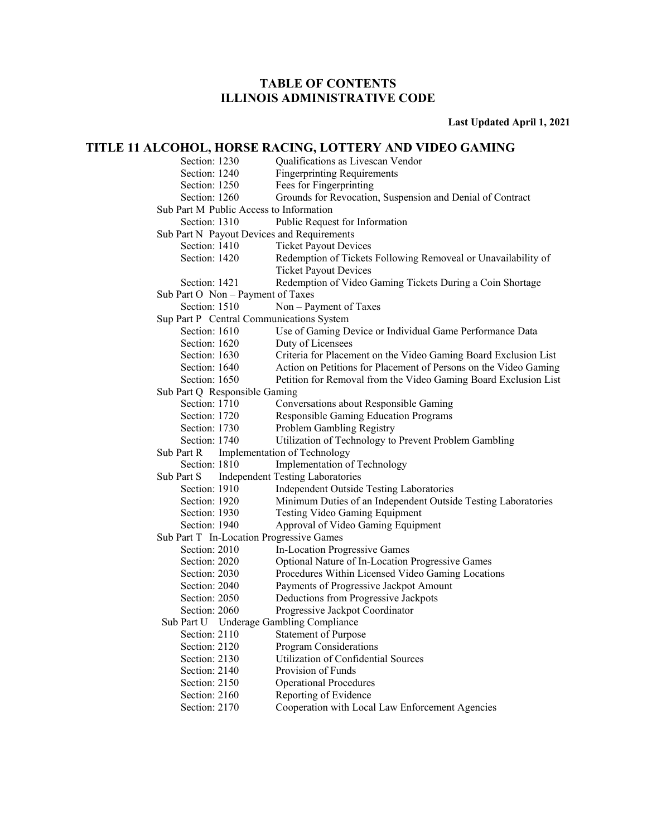**Last Updated April 1, 2021** 

### **TITLE 11 ALCOHOL, HORSE RACING, LOTTERY AND VIDEO GAMING**

| Section: 1230                              | Qualifications as Livescan Vendor                                |
|--------------------------------------------|------------------------------------------------------------------|
| Section: 1240                              | <b>Fingerprinting Requirements</b>                               |
| Section: 1250                              | Fees for Fingerprinting                                          |
| Section: 1260                              | Grounds for Revocation, Suspension and Denial of Contract        |
| Sub Part M Public Access to Information    |                                                                  |
| Section: 1310                              | Public Request for Information                                   |
| Sub Part N Payout Devices and Requirements |                                                                  |
| Section: 1410                              | <b>Ticket Payout Devices</b>                                     |
| Section: 1420                              | Redemption of Tickets Following Removeal or Unavailability of    |
|                                            | <b>Ticket Payout Devices</b>                                     |
| Section: 1421                              | Redemption of Video Gaming Tickets During a Coin Shortage        |
| Sub Part O Non - Payment of Taxes          |                                                                  |
| Section: 1510                              | Non - Payment of Taxes                                           |
| Sup Part P Central Communications System   |                                                                  |
| Section: 1610                              | Use of Gaming Device or Individual Game Performance Data         |
| Section: 1620                              | Duty of Licensees                                                |
| Section: 1630                              | Criteria for Placement on the Video Gaming Board Exclusion List  |
| Section: 1640                              | Action on Petitions for Placement of Persons on the Video Gaming |
| Section: 1650                              | Petition for Removal from the Video Gaming Board Exclusion List  |
| Sub Part Q Responsible Gaming              |                                                                  |
| Section: 1710                              | Conversations about Responsible Gaming                           |
| Section: 1720                              | Responsible Gaming Education Programs                            |
| Section: 1730                              | Problem Gambling Registry                                        |
| Section: 1740                              | Utilization of Technology to Prevent Problem Gambling            |
| Sub Part R                                 | Implementation of Technology                                     |
| Section: 1810                              | Implementation of Technology                                     |
| Sub Part S                                 | <b>Independent Testing Laboratories</b>                          |
| Section: 1910                              | Independent Outside Testing Laboratories                         |
| Section: 1920                              | Minimum Duties of an Independent Outside Testing Laboratories    |
| Section: 1930                              | Testing Video Gaming Equipment                                   |
| Section: 1940                              | Approval of Video Gaming Equipment                               |
| Sub Part T In-Location Progressive Games   |                                                                  |
| Section: 2010                              | In-Location Progressive Games                                    |
| Section: 2020                              | Optional Nature of In-Location Progressive Games                 |
| Section: 2030                              | Procedures Within Licensed Video Gaming Locations                |
| Section: 2040                              | Payments of Progressive Jackpot Amount                           |
| Section: 2050                              | Deductions from Progressive Jackpots                             |
| Section: 2060                              | Progressive Jackpot Coordinator                                  |
| Sub Part U Underage Gambling Compliance    |                                                                  |
| Section: 2110                              | <b>Statement of Purpose</b>                                      |
| Section: 2120                              | <b>Program Considerations</b>                                    |
| Section: 2130                              | Utilization of Confidential Sources                              |
| Section: 2140                              | Provision of Funds                                               |
| Section: 2150                              | <b>Operational Procedures</b>                                    |
| Section: 2160                              | Reporting of Evidence                                            |
| Section: 2170                              | Cooperation with Local Law Enforcement Agencies                  |
|                                            |                                                                  |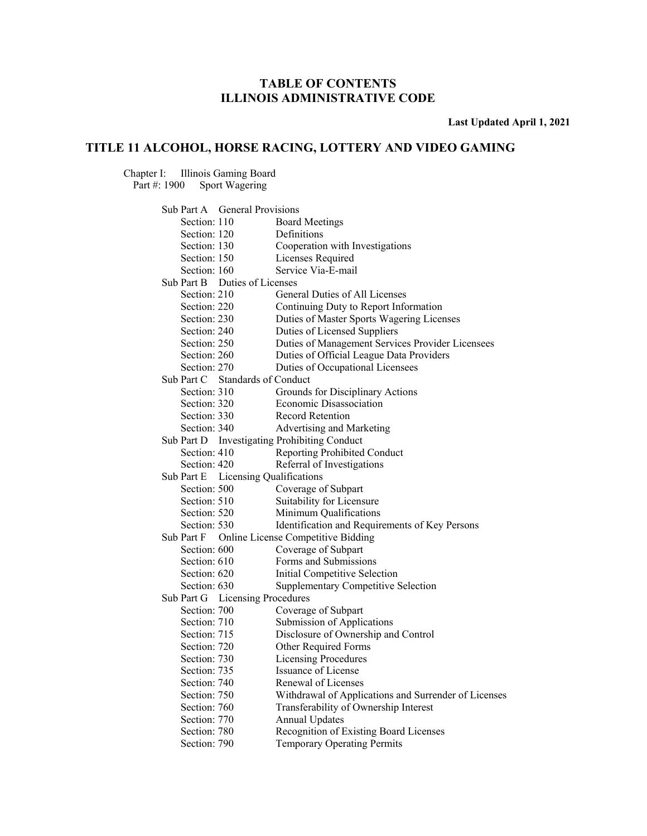**Last Updated April 1, 2021** 

### **TITLE 11 ALCOHOL, HORSE RACING, LOTTERY AND VIDEO GAMING**

Chapter I: Illinois Gaming Board

Part #: 1900 Sport Wagering

| Sub Part A General Provisions       |                                                      |
|-------------------------------------|------------------------------------------------------|
| Section: 110                        | <b>Board Meetings</b>                                |
| Section: 120                        | Definitions                                          |
| Section: 130                        | Cooperation with Investigations                      |
| Section: 150                        | Licenses Required                                    |
| Section: 160                        | Service Via-E-mail                                   |
| Sub Part B Duties of Licenses       |                                                      |
| Section: 210                        | General Duties of All Licenses                       |
| Section: 220                        | Continuing Duty to Report Information                |
| Section: 230                        | Duties of Master Sports Wagering Licenses            |
| Section: 240                        | Duties of Licensed Suppliers                         |
| Section: 250                        | Duties of Management Services Provider Licensees     |
| Section: 260                        | Duties of Official League Data Providers             |
| Section: 270                        | Duties of Occupational Licensees                     |
| Sub Part C Standards of Conduct     |                                                      |
| Section: 310                        | Grounds for Disciplinary Actions                     |
| Section: 320                        | Economic Disassociation                              |
| Section: 330                        | Record Retention                                     |
| Section: 340                        | Advertising and Marketing                            |
|                                     | Sub Part D Investigating Prohibiting Conduct         |
| Section: 410                        | Reporting Prohibited Conduct                         |
| Section: 420                        | Referral of Investigations                           |
| Sub Part E Licensing Qualifications |                                                      |
| Section: 500                        | Coverage of Subpart                                  |
| Section: 510                        | Suitability for Licensure                            |
| Section: 520                        | Minimum Qualifications                               |
| Section: 530                        | Identification and Requirements of Key Persons       |
| Sub Part F                          | Online License Competitive Bidding                   |
| Section: 600                        | Coverage of Subpart                                  |
| Section: 610                        | Forms and Submissions                                |
| Section: 620                        | Initial Competitive Selection                        |
| Section: 630                        | <b>Supplementary Competitive Selection</b>           |
| Sub Part G Licensing Procedures     |                                                      |
| Section: 700                        | Coverage of Subpart                                  |
| Section: 710                        | Submission of Applications                           |
| Section: 715                        | Disclosure of Ownership and Control                  |
| Section: 720                        | Other Required Forms                                 |
| Section: 730                        | Licensing Procedures                                 |
| Section: 735                        | Issuance of License                                  |
| Section: 740                        | Renewal of Licenses                                  |
| Section: 750                        | Withdrawal of Applications and Surrender of Licenses |
| Section: 760                        | Transferability of Ownership Interest                |
| Section: 770                        | <b>Annual Updates</b>                                |
| Section: 780                        | Recognition of Existing Board Licenses               |
| Section: 790                        | Temporary Operating Permits                          |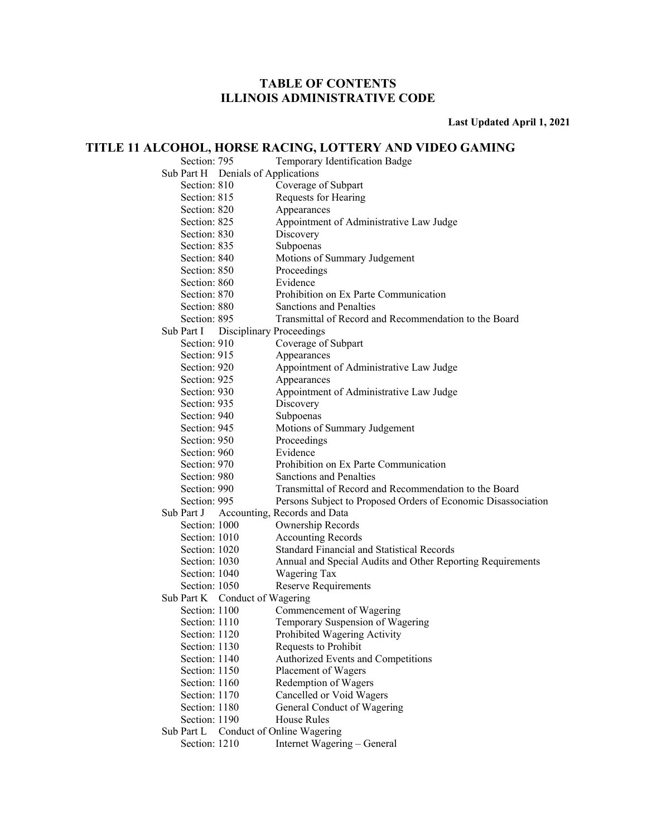**Last Updated April 1, 2021** 

#### **TITLE 11 ALCOHOL, HORSE RACING, LOTTERY AND VIDEO GAMING**

Section: 795 Temporary Identification Badge Sub Part H Denials of Applications Section: 810 Coverage of Subpart Section: 815 Requests for Hearing Section: 820 Appearances Section: 825 Appointment of Administrative Law Judge Section: 830 Discovery Section: 835 Subpoenas Section: 840 Motions of Summary Judgement Section: 850 Proceedings Section: 860 Evidence Section: 870 Prohibition on Ex Parte Communication Section: 880 Sanctions and Penalties Section: 895 Transmittal of Record and Recommendation to the Board Sub Part I Disciplinary Proceedings Section: 910 Coverage of Subpart Section: 915 Appearances Section: 920 Appointment of Administrative Law Judge Section: 925 Appearances Section: 930 Appointment of Administrative Law Judge Section: 935 Discovery Section: 940 Subpoenas Section: 945 Motions of Summary Judgement Section: 950 Proceedings<br>Section: 960 Evidence Section: 960 Section: 970 Prohibition on Ex Parte Communication Section: 980 Sanctions and Penalties Section: 990 Transmittal of Record and Recommendation to the Board Section: 995 Persons Subject to Proposed Orders of Economic Disassociation Sub Part J Accounting, Records and Data Section: 1000 Ownership Records Section: 1010 Accounting Records Section: 1020 Standard Financial and Statistical Records Section: 1030 Annual and Special Audits and Other Reporting Requirements Section: 1040 Wagering Tax Section: 1050 Reserve Requirements Sub Part K Conduct of Wagering Section: 1100 Commencement of Wagering Section: 1110 Temporary Suspension of Wagering Section: 1120 Prohibited Wagering Activity Section: 1130 Requests to Prohibit Section: 1140 Authorized Events and Competitions Section: 1150 Placement of Wagers Section: 1160 Redemption of Wagers Section: 1170 Cancelled or Void Wagers Section: 1180 General Conduct of Wagering Section: 1190 House Rules Sub Part L Conduct of Online Wagering

Section: 1210 Internet Wagering – General